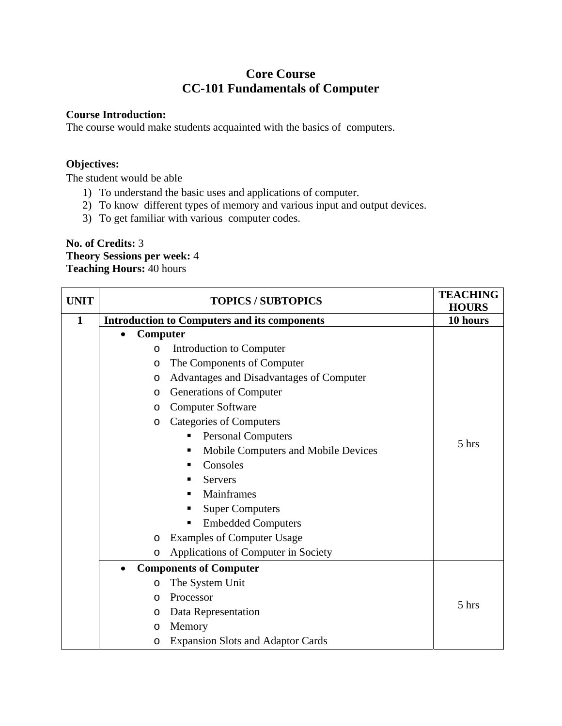# **Core Course CC-101 Fundamentals of Computer**

#### **Course Introduction:**

The course would make students acquainted with the basics of computers.

### **Objectives:**

The student would be able

- 1) To understand the basic uses and applications of computer.
- 2) To know different types of memory and various input and output devices.
- 3) To get familiar with various computer codes.

**No. of Credits:** 3 **Theory Sessions per week:** 4 **Teaching Hours:** 40 hours

| <b>UNIT</b>  | <b>TOPICS / SUBTOPICS</b>                           | <b>TEACHING</b><br><b>HOURS</b> |
|--------------|-----------------------------------------------------|---------------------------------|
| $\mathbf{1}$ | <b>Introduction to Computers and its components</b> | 10 hours                        |
|              | Computer                                            |                                 |
|              | Introduction to Computer<br>$\circ$                 |                                 |
|              | The Components of Computer<br>$\circ$               |                                 |
|              | Advantages and Disadvantages of Computer<br>$\circ$ |                                 |
|              | Generations of Computer<br>$\circ$                  |                                 |
|              | <b>Computer Software</b><br>$\circ$                 |                                 |
|              | <b>Categories of Computers</b><br>$\circ$           |                                 |
|              | <b>Personal Computers</b><br>п                      | 5 hrs                           |
|              | Mobile Computers and Mobile Devices<br>п            |                                 |
|              | Consoles<br>п                                       |                                 |
|              | <b>Servers</b><br>п                                 |                                 |
|              | Mainframes<br>п                                     |                                 |
|              | <b>Super Computers</b><br>п                         |                                 |
|              | <b>Embedded Computers</b><br>П                      |                                 |
|              | <b>Examples of Computer Usage</b><br>$\circ$        |                                 |
|              | Applications of Computer in Society<br>$\circ$      |                                 |
|              | <b>Components of Computer</b><br>$\bullet$          |                                 |
|              | The System Unit<br>$\circ$                          |                                 |
|              | Processor<br>O                                      | 5 hrs                           |
|              | Data Representation<br>$\circ$                      |                                 |
|              | Memory<br>$\circ$                                   |                                 |
|              | <b>Expansion Slots and Adaptor Cards</b><br>O       |                                 |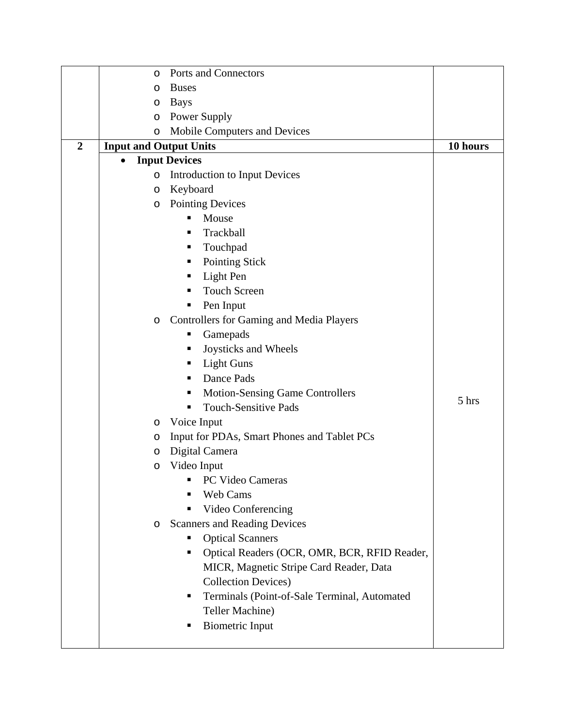|                | O                             | Ports and Connectors                              |          |
|----------------|-------------------------------|---------------------------------------------------|----------|
|                | O                             | <b>Buses</b>                                      |          |
|                | O                             | <b>Bays</b>                                       |          |
|                | O                             | Power Supply                                      |          |
|                | $\circ$                       | Mobile Computers and Devices                      |          |
| $\overline{2}$ | <b>Input and Output Units</b> |                                                   | 10 hours |
|                |                               | <b>Input Devices</b>                              |          |
|                | $\circ$                       | <b>Introduction to Input Devices</b>              |          |
|                | O                             | Keyboard                                          |          |
|                | O                             | <b>Pointing Devices</b>                           |          |
|                |                               | Mouse<br>٠                                        |          |
|                |                               | Trackball<br>п                                    |          |
|                |                               | Touchpad<br>ш                                     |          |
|                |                               | <b>Pointing Stick</b><br>п                        |          |
|                |                               | Light Pen<br>п                                    |          |
|                |                               | <b>Touch Screen</b>                               |          |
|                |                               | Pen Input                                         |          |
|                | O                             | <b>Controllers for Gaming and Media Players</b>   |          |
|                |                               | Gamepads<br>п                                     |          |
|                |                               | Joysticks and Wheels<br>п                         |          |
|                |                               | <b>Light Guns</b><br>п                            |          |
|                |                               | Dance Pads<br>٠                                   |          |
|                |                               | <b>Motion-Sensing Game Controllers</b><br>п       | 5 hrs    |
|                |                               | <b>Touch-Sensitive Pads</b><br>п                  |          |
|                | O                             | Voice Input                                       |          |
|                | O                             | Input for PDAs, Smart Phones and Tablet PCs       |          |
|                | O                             | Digital Camera                                    |          |
|                | O                             | Video Input                                       |          |
|                |                               | PC Video Cameras                                  |          |
|                |                               | Web Cams                                          |          |
|                |                               | Video Conferencing                                |          |
|                | O                             | <b>Scanners and Reading Devices</b>               |          |
|                |                               | <b>Optical Scanners</b><br>ш                      |          |
|                |                               | Optical Readers (OCR, OMR, BCR, RFID Reader,<br>٠ |          |
|                |                               | MICR, Magnetic Stripe Card Reader, Data           |          |
|                |                               | <b>Collection Devices)</b>                        |          |
|                |                               | Terminals (Point-of-Sale Terminal, Automated<br>п |          |
|                |                               | Teller Machine)                                   |          |
|                |                               | <b>Biometric Input</b><br>п                       |          |
|                |                               |                                                   |          |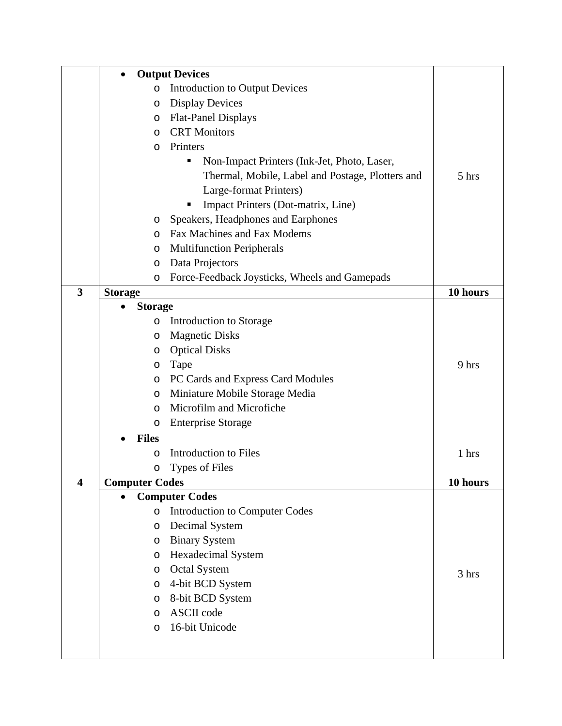|                         | <b>Output Devices</b><br>$\bullet$ |                                                  |          |
|-------------------------|------------------------------------|--------------------------------------------------|----------|
|                         | O                                  | <b>Introduction to Output Devices</b>            |          |
|                         | O                                  | <b>Display Devices</b>                           |          |
|                         | O                                  | <b>Flat-Panel Displays</b>                       |          |
|                         | $\circ$                            | <b>CRT</b> Monitors                              |          |
|                         | O                                  | Printers                                         |          |
|                         |                                    | Non-Impact Printers (Ink-Jet, Photo, Laser,      |          |
|                         |                                    | Thermal, Mobile, Label and Postage, Plotters and | 5 hrs    |
|                         |                                    | Large-format Printers)                           |          |
|                         |                                    | Impact Printers (Dot-matrix, Line)               |          |
|                         | O                                  | Speakers, Headphones and Earphones               |          |
|                         | $\circ$                            | Fax Machines and Fax Modems                      |          |
|                         | O                                  | <b>Multifunction Peripherals</b>                 |          |
|                         | $\circ$                            | Data Projectors                                  |          |
|                         | $\circ$                            | Force-Feedback Joysticks, Wheels and Gamepads    |          |
| $\overline{\mathbf{3}}$ | <b>Storage</b>                     |                                                  | 10 hours |
|                         | <b>Storage</b>                     |                                                  |          |
|                         | O                                  | Introduction to Storage                          |          |
|                         | O                                  | <b>Magnetic Disks</b>                            |          |
|                         | O                                  | <b>Optical Disks</b>                             |          |
|                         | O                                  | Tape                                             | 9 hrs    |
|                         | O                                  | PC Cards and Express Card Modules                |          |
|                         | $\circ$                            | Miniature Mobile Storage Media                   |          |
|                         | O                                  | Microfilm and Microfiche                         |          |
|                         | O                                  | <b>Enterprise Storage</b>                        |          |
|                         | <b>Files</b>                       |                                                  |          |
|                         | O                                  | <b>Introduction to Files</b>                     | 1 hrs    |
|                         | O                                  | <b>Types of Files</b>                            |          |
| $\overline{\mathbf{4}}$ | <b>Computer Codes</b>              |                                                  | 10 hours |
|                         |                                    | <b>Computer Codes</b>                            |          |
|                         | O                                  | <b>Introduction to Computer Codes</b>            |          |
|                         | $\circ$                            | Decimal System                                   |          |
|                         | O                                  | <b>Binary System</b>                             |          |
|                         | O                                  | Hexadecimal System                               |          |
|                         | $\circ$                            | <b>Octal System</b>                              | 3 hrs    |
|                         | $\circ$                            | 4-bit BCD System                                 |          |
|                         | O                                  | 8-bit BCD System                                 |          |
|                         | O                                  | <b>ASCII</b> code                                |          |
|                         | O                                  | 16-bit Unicode                                   |          |
|                         |                                    |                                                  |          |
|                         |                                    |                                                  |          |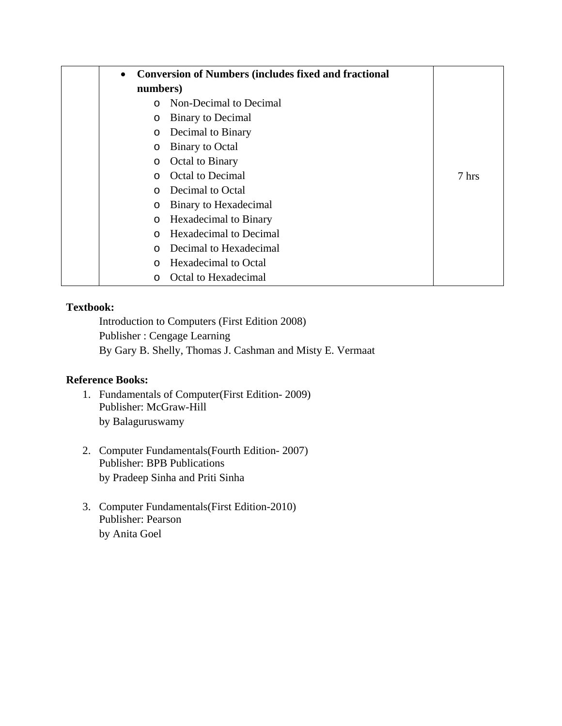| $\bullet$ | <b>Conversion of Numbers (includes fixed and fractional</b> |       |
|-----------|-------------------------------------------------------------|-------|
| numbers)  |                                                             |       |
|           | Non-Decimal to Decimal                                      |       |
| $\circ$   | <b>Binary to Decimal</b>                                    |       |
| $\circ$   | Decimal to Binary                                           |       |
| $\circ$   | <b>Binary to Octal</b>                                      |       |
| $\circ$   | Octal to Binary                                             |       |
| $\Omega$  | <b>Octal to Decimal</b>                                     | 7 hrs |
| $\Omega$  | Decimal to Octal                                            |       |
| $\circ$   | Binary to Hexadecimal                                       |       |
| $\circ$   | Hexadecimal to Binary                                       |       |
| $\Omega$  | <b>Hexadecimal to Decimal</b>                               |       |
| $\Omega$  | Decimal to Hexadecimal                                      |       |
| ∩         | Hexadecimal to Octal                                        |       |
| $\Omega$  | Octal to Hexadecimal                                        |       |

Introduction to Computers (First Edition 2008) Publisher : Cengage Learning By Gary B. Shelly, Thomas J. Cashman and Misty E. Vermaat

## **Reference Books:**

- 1. Fundamentals of Computer(First Edition- 2009) Publisher: McGraw-Hill by Balaguruswamy
- 2. Computer Fundamentals(Fourth Edition- 2007) Publisher: BPB Publications by Pradeep Sinha and Priti Sinha
- 3. Computer Fundamentals(First Edition-2010) Publisher: Pearson by Anita Goel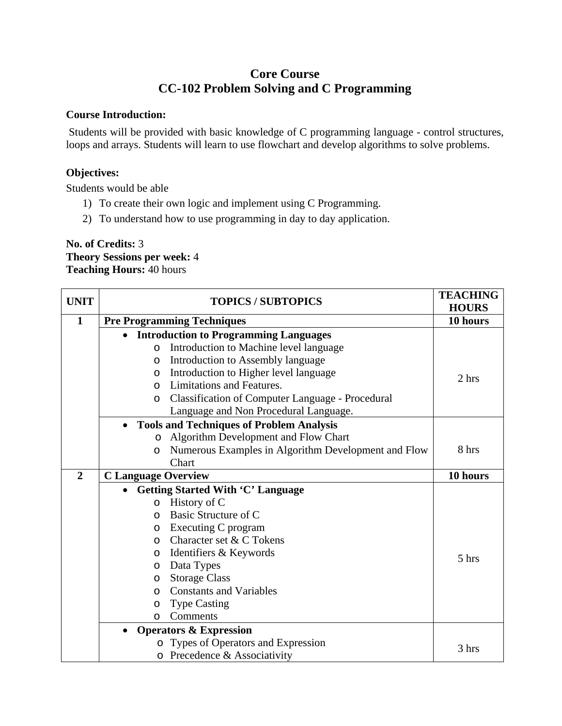# **Core Course CC-102 Problem Solving and C Programming**

#### **Course Introduction:**

 Students will be provided with basic knowledge of C programming language - control structures, loops and arrays. Students will learn to use flowchart and develop algorithms to solve problems.

### **Objectives:**

Students would be able

- 1) To create their own logic and implement using C Programming.
- 2) To understand how to use programming in day to day application.

## **No. of Credits:** 3 **Theory Sessions per week:** 4 **Teaching Hours:** 40 hours

| <b>UNIT</b>    | <b>TOPICS / SUBTOPICS</b>                                          | <b>TEACHING</b><br><b>HOURS</b> |
|----------------|--------------------------------------------------------------------|---------------------------------|
| $\mathbf{1}$   | <b>Pre Programming Techniques</b>                                  | 10 hours                        |
|                | <b>Introduction to Programming Languages</b>                       |                                 |
|                | Introduction to Machine level language<br>$\circ$                  |                                 |
|                | Introduction to Assembly language<br>$\circ$                       |                                 |
|                | Introduction to Higher level language<br>O                         | 2 hrs                           |
|                | Limitations and Features.<br>$\Omega$                              |                                 |
|                | <b>Classification of Computer Language - Procedural</b><br>$\circ$ |                                 |
|                | Language and Non Procedural Language.                              |                                 |
|                | <b>Tools and Techniques of Problem Analysis</b>                    |                                 |
|                | Algorithm Development and Flow Chart<br>$\circ$                    |                                 |
|                | Numerous Examples in Algorithm Development and Flow<br>$\circ$     | 8 hrs                           |
|                | Chart                                                              |                                 |
| $\overline{2}$ | <b>C</b> Language Overview                                         | 10 hours                        |
|                | <b>Getting Started With 'C' Language</b>                           |                                 |
|                | History of C<br>$\circ$                                            |                                 |
|                | Basic Structure of C<br>$\circ$                                    |                                 |
|                | Executing C program<br>$\circ$                                     |                                 |
|                | Character set & C Tokens<br>$\circ$                                |                                 |
|                | Identifiers & Keywords<br>$\circ$                                  | 5 hrs                           |
|                | Data Types<br>$\circ$                                              |                                 |
|                | <b>Storage Class</b><br>$\circ$                                    |                                 |
|                | <b>Constants and Variables</b><br>$\circ$                          |                                 |
|                | <b>Type Casting</b><br>$\circ$                                     |                                 |
|                | Comments<br>$\Omega$                                               |                                 |
|                | <b>Operators &amp; Expression</b>                                  |                                 |
|                | Types of Operators and Expression                                  | 3 hrs                           |
|                | o Precedence & Associativity                                       |                                 |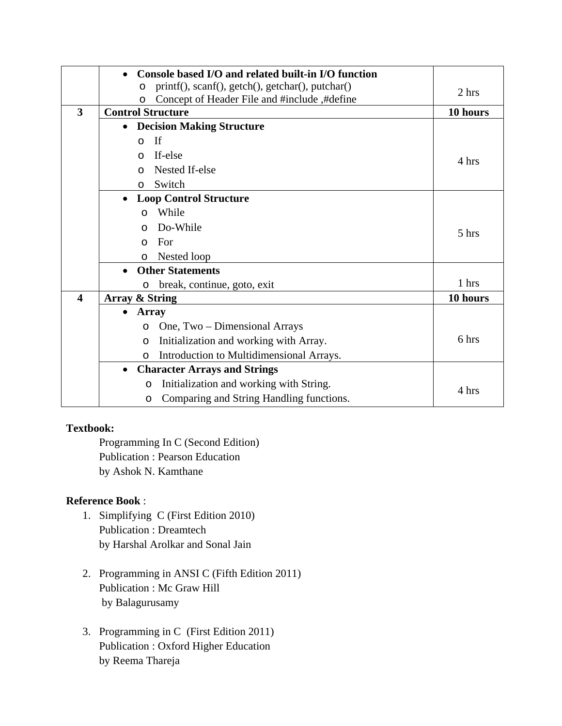|                         | Console based I/O and related built-in I/O function         |          |
|-------------------------|-------------------------------------------------------------|----------|
|                         | printf(), scanf(), getch(), getchar(), putchar()<br>$\circ$ | 2 hrs    |
|                         | Concept of Header File and #include ,#define<br>$\circ$     |          |
| 3                       | <b>Control Structure</b>                                    | 10 hours |
|                         | <b>Decision Making Structure</b><br>$\bullet$               |          |
|                         | If<br>$\circ$                                               |          |
|                         | If-else<br>$\Omega$                                         | 4 hrs    |
|                         | Nested If-else<br>$\Omega$                                  |          |
|                         | Switch<br>$\circ$                                           |          |
|                         | <b>Loop Control Structure</b><br>$\bullet$                  |          |
|                         | While<br>$\Omega$                                           |          |
|                         | Do-While<br>$\Omega$                                        | 5 hrs    |
|                         | For<br>$\Omega$                                             |          |
|                         | Nested loop<br>$\circ$                                      |          |
|                         | <b>Other Statements</b>                                     |          |
|                         | break, continue, goto, exit<br>$\circ$                      | 1 hrs    |
| $\overline{\mathbf{4}}$ | Array & String                                              | 10 hours |
|                         | <b>Array</b>                                                |          |
|                         | One, Two – Dimensional Arrays<br>$\circ$                    |          |
|                         | Initialization and working with Array.<br>$\circ$           | 6 hrs    |
|                         | Introduction to Multidimensional Arrays.<br>$\Omega$        |          |
|                         | <b>Character Arrays and Strings</b><br>$\bullet$            |          |
|                         | Initialization and working with String.<br>$\circ$          |          |
|                         | Comparing and String Handling functions.<br>$\circ$         | 4 hrs    |

Programming In C (Second Edition) Publication : Pearson Education by Ashok N. Kamthane

## **Reference Book** :

- 1. Simplifying C (First Edition 2010) Publication : Dreamtech by Harshal Arolkar and Sonal Jain
- 2. Programming in ANSI C (Fifth Edition 2011) Publication : Mc Graw Hill by Balagurusamy
- 3. Programming in C (First Edition 2011) Publication : Oxford Higher Education by Reema Thareja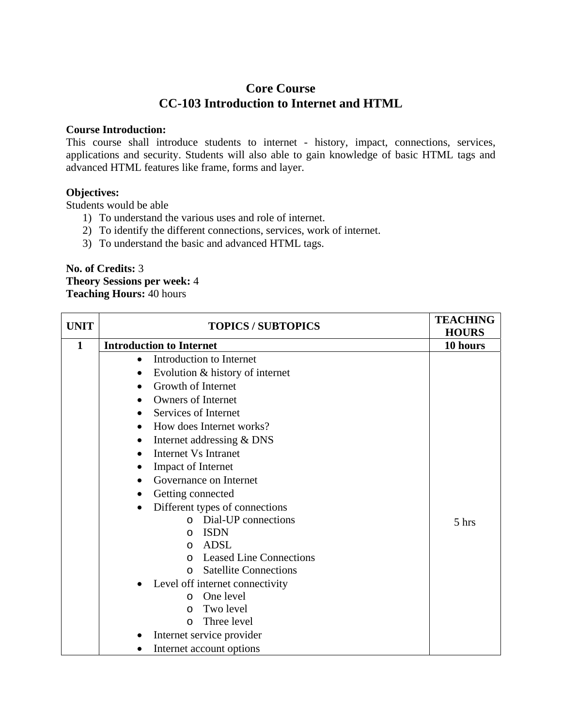## **Core Course CC-103 Introduction to Internet and HTML**

#### **Course Introduction:**

This course shall introduce students to internet - history, impact, connections, services, applications and security. Students will also able to gain knowledge of basic HTML tags and advanced HTML features like frame, forms and layer.

### **Objectives:**

Students would be able

- 1) To understand the various uses and role of internet.
- 2) To identify the different connections, services, work of internet.
- 3) To understand the basic and advanced HTML tags.

### **No. of Credits:** 3 **Theory Sessions per week:** 4 **Teaching Hours:** 40 hours

| <b>UNIT</b> | <b>TOPICS / SUBTOPICS</b>                   | <b>TEACHING</b><br><b>HOURS</b> |
|-------------|---------------------------------------------|---------------------------------|
| 1           | <b>Introduction to Internet</b>             | 10 hours                        |
|             | Introduction to Internet                    |                                 |
|             | Evolution & history of internet             |                                 |
|             | Growth of Internet                          |                                 |
|             | <b>Owners of Internet</b>                   |                                 |
|             | Services of Internet                        |                                 |
|             | How does Internet works?<br>$\bullet$       |                                 |
|             | Internet addressing & DNS                   |                                 |
|             | Internet Vs Intranet<br>$\bullet$           |                                 |
|             | <b>Impact of Internet</b>                   |                                 |
|             | Governance on Internet                      |                                 |
|             | Getting connected                           |                                 |
|             | Different types of connections<br>$\bullet$ |                                 |
|             | o Dial-UP connections                       | 5 hrs                           |
|             | <b>ISDN</b><br>O                            |                                 |
|             | ADSL<br>$\Omega$                            |                                 |
|             | <b>Leased Line Connections</b><br>$\Omega$  |                                 |
|             | <b>Satellite Connections</b><br>$\Omega$    |                                 |
|             | Level off internet connectivity             |                                 |
|             | One level<br>$\Omega$                       |                                 |
|             | Two level<br>$\Omega$                       |                                 |
|             | Three level<br>$\Omega$                     |                                 |
|             | Internet service provider                   |                                 |
|             | Internet account options                    |                                 |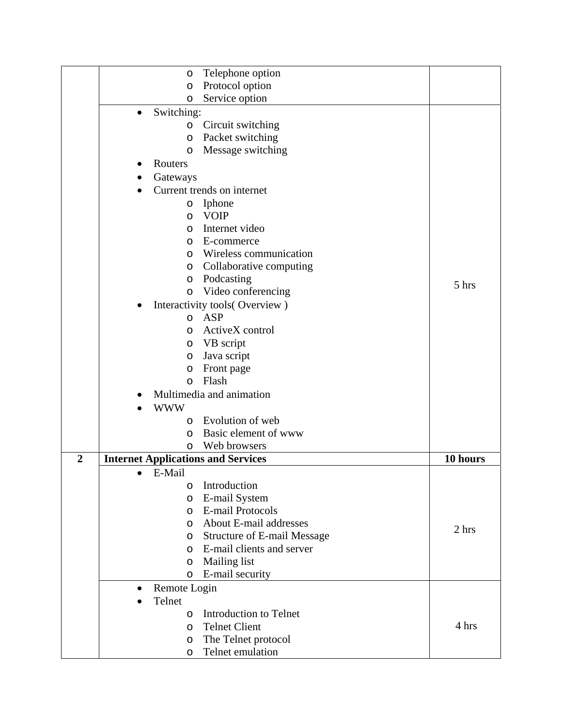|                | Telephone option<br>$\circ$                   |          |
|----------------|-----------------------------------------------|----------|
|                | Protocol option<br>$\circ$                    |          |
|                | Service option<br>O                           |          |
|                | Switching:<br>$\bullet$                       |          |
|                | Circuit switching<br>$\circ$                  |          |
|                | Packet switching<br>$\circ$                   |          |
|                | Message switching<br>$\circ$                  |          |
|                | Routers                                       |          |
|                |                                               |          |
|                | Gateways                                      |          |
|                | Current trends on internet                    |          |
|                | Iphone<br>$\circ$                             |          |
|                | <b>VOIP</b><br>O                              |          |
|                | Internet video<br>$\circ$                     |          |
|                | E-commerce<br>$\circ$                         |          |
|                | Wireless communication<br>$\circ$             |          |
|                | Collaborative computing<br>$\circ$            |          |
|                | Podcasting<br>O                               | $5$ hrs  |
|                | Video conferencing<br>$\circ$                 |          |
|                | Interactivity tools(Overview)                 |          |
|                | <b>ASP</b><br>$\circ$                         |          |
|                | ActiveX control<br>O                          |          |
|                | VB script<br>O                                |          |
|                | Java script<br>O                              |          |
|                | Front page<br>$\circ$                         |          |
|                | Flash<br>$\circ$                              |          |
|                | Multimedia and animation                      |          |
|                | <b>WWW</b>                                    |          |
|                | Evolution of web<br>$\circ$                   |          |
|                | Basic element of www<br>$\circ$               |          |
|                | Web browsers<br>O                             |          |
| $\overline{2}$ | <b>Internet Applications and Services</b>     | 10 hours |
|                | E-Mail<br>٠                                   |          |
|                | Introduction                                  |          |
|                | O<br>E-mail System                            |          |
|                | O<br><b>E-mail Protocols</b>                  |          |
|                | $\circ$                                       |          |
|                | About E-mail addresses<br>$\circ$             | 2 hrs    |
|                | <b>Structure of E-mail Message</b><br>$\circ$ |          |
|                | E-mail clients and server<br>$\circ$          |          |
|                | Mailing list<br>$\circ$                       |          |
|                | E-mail security<br>$\circ$                    |          |
|                | Remote Login<br>$\bullet$                     |          |
|                | Telnet                                        |          |
|                | <b>Introduction to Telnet</b><br>$\circ$      |          |
|                | <b>Telnet Client</b><br>$\circ$               | 4 hrs    |
|                | The Telnet protocol<br>O                      |          |
|                | Telnet emulation<br>O                         |          |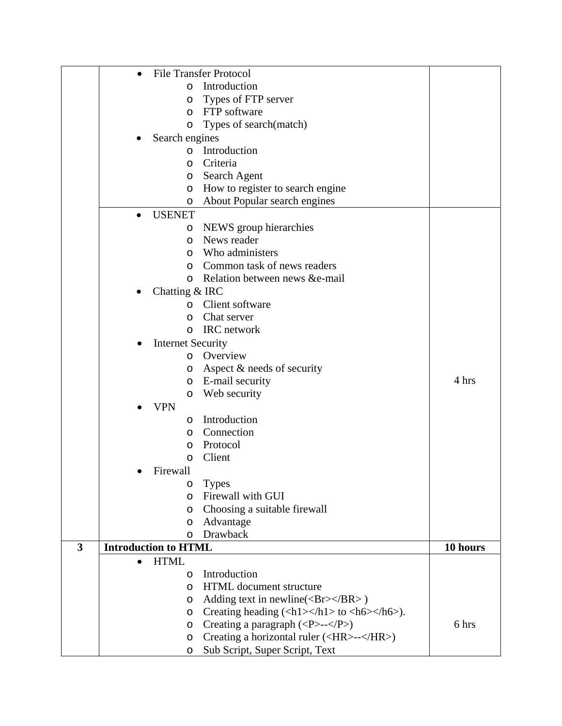|              | $\bullet$ | <b>File Transfer Protocol</b>                                                                                      |          |
|--------------|-----------|--------------------------------------------------------------------------------------------------------------------|----------|
|              |           | Introduction<br>$\circ$                                                                                            |          |
|              |           | Types of FTP server<br>O                                                                                           |          |
|              |           | FTP software<br>$\circ$                                                                                            |          |
|              |           | Types of search(match)<br>$\circ$                                                                                  |          |
|              |           | Search engines                                                                                                     |          |
|              |           | Introduction<br>$\circ$                                                                                            |          |
|              |           | Criteria<br>$\circ$                                                                                                |          |
|              |           | Search Agent<br>$\circ$                                                                                            |          |
|              |           | How to register to search engine<br>$\circ$                                                                        |          |
|              |           | About Popular search engines<br>$\circ$                                                                            |          |
|              |           | <b>USENET</b>                                                                                                      |          |
|              |           | NEWS group hierarchies<br>$\circ$                                                                                  |          |
|              |           | News reader<br>$\circ$                                                                                             |          |
|              |           | Who administers<br>$\circ$                                                                                         |          |
|              |           | Common task of news readers<br>$\circ$                                                                             |          |
|              |           | Relation between news & e-mail<br>$\circ$                                                                          |          |
|              |           | Chatting $&$ IRC                                                                                                   |          |
|              |           | Client software<br>$\circ$                                                                                         |          |
|              |           | Chat server<br>$\circ$                                                                                             |          |
|              |           | IRC network<br>$\circ$                                                                                             |          |
|              |           |                                                                                                                    |          |
|              | $\bullet$ | <b>Internet Security</b><br>o Overview                                                                             |          |
|              |           |                                                                                                                    |          |
|              |           | Aspect & needs of security<br>$\circ$                                                                              |          |
|              |           | E-mail security<br>$\circ$                                                                                         | 4 hrs    |
|              |           | Web security<br>$\circ$                                                                                            |          |
|              |           | <b>VPN</b>                                                                                                         |          |
|              |           | Introduction<br>$\circ$                                                                                            |          |
|              |           | Connection<br>$\circ$                                                                                              |          |
|              |           | Protocol<br>$\circ$                                                                                                |          |
|              |           | Client<br>$\circ$                                                                                                  |          |
|              |           | Firewall                                                                                                           |          |
|              |           | <b>Types</b><br>$\circ$                                                                                            |          |
|              |           | Firewall with GUI<br>$\circ$                                                                                       |          |
|              |           | Choosing a suitable firewall<br>O                                                                                  |          |
|              |           | Advantage<br>$\circ$                                                                                               |          |
|              |           | <b>Drawback</b><br>$\circ$                                                                                         |          |
| $\mathbf{3}$ |           | <b>Introduction to HTML</b>                                                                                        | 10 hours |
|              |           | <b>HTML</b>                                                                                                        |          |
|              |           | Introduction<br>$\circ$                                                                                            |          |
|              |           | HTML document structure<br>$\circ$                                                                                 |          |
|              |           | Adding text in newline( $\langle Br \rangle \langle BR \rangle$ )<br>$\circ$                                       |          |
|              |           | Creating heading $(\langle h1 \rangle \langle h1 \rangle)$ to $\langle h6 \rangle \langle h6 \rangle$ .<br>$\circ$ |          |
|              |           | Creating a paragraph $(\langle P \rangle \rightarrow \langle P \rangle)$<br>$\circ$                                | 6 hrs    |
|              |           | Creating a horizontal ruler ( <hr/> --)<br>$\circ$                                                                 |          |
|              |           | Sub Script, Super Script, Text<br>O                                                                                |          |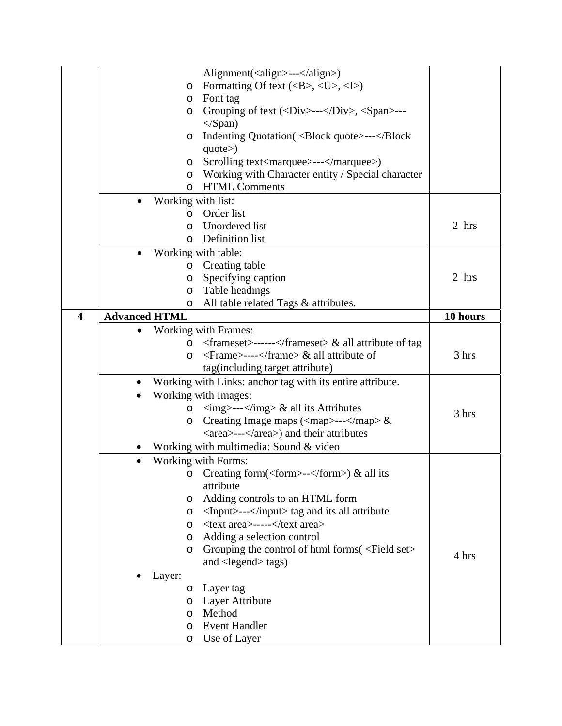|                         |                                 | Alignment( <align>---</align> )                                                                   |          |
|-------------------------|---------------------------------|---------------------------------------------------------------------------------------------------|----------|
|                         | O                               | Formatting Of text $(\langle B \rangle, \langle U \rangle, \langle I \rangle)$                    |          |
|                         | O                               | Font tag                                                                                          |          |
|                         | O                               | Grouping of text ( <div>---</div> , <span>---</span>                                              |          |
|                         |                                 | $\langle$ Span $\rangle$                                                                          |          |
|                         | O                               | Indenting Quotation ( <block quote="">---<th></th></block>                                        |          |
|                         |                                 | $\text{quote}$ )                                                                                  |          |
|                         | $\circ$                         | Scrolling text <marquee>---</marquee> )                                                           |          |
|                         | $\circ$                         | Working with Character entity / Special character                                                 |          |
|                         | $\circ$                         | <b>HTML Comments</b>                                                                              |          |
|                         | Working with list:<br>$\bullet$ |                                                                                                   |          |
|                         | O                               | Order list                                                                                        |          |
|                         | O                               | Unordered list                                                                                    | 2 hrs    |
|                         | $\circ$                         | Definition list                                                                                   |          |
|                         | $\bullet$                       | Working with table:                                                                               |          |
|                         | O                               | Creating table                                                                                    |          |
|                         | O                               | Specifying caption                                                                                | 2 hrs    |
|                         | O                               | Table headings                                                                                    |          |
|                         | O                               | All table related Tags & attributes.                                                              |          |
| $\overline{\mathbf{4}}$ | <b>Advanced HTML</b>            |                                                                                                   | 10 hours |
|                         |                                 | <b>Working with Frames:</b>                                                                       |          |
|                         | $\circ$                         | $\langle$ frameset>----- $\langle$ frameset> & all attribute of tag                               |          |
|                         | O                               | <frame/> ---- & all attribute of                                                                  | 3 hrs    |
|                         |                                 | tag(including target attribute)                                                                   |          |
|                         |                                 | Working with Links: anchor tag with its entire attribute.                                         |          |
|                         |                                 | Working with Images:                                                                              |          |
|                         | O                               | $\langle \text{img}\rangle$ --- $\langle \text{img}\rangle \&$ all its Attributes                 |          |
|                         | O                               | Creating Image maps $\langle \langle \text{map} \rangle \text{---} \langle \text{map} \rangle \&$ | 3 hrs    |
|                         |                                 | <area/> ---) and their attributes                                                                 |          |
|                         |                                 | Working with multimedia: Sound & video                                                            |          |
|                         |                                 | Working with Forms:                                                                               |          |
|                         |                                 | o Creating form( <form>--</form> ) & all its                                                      |          |
|                         |                                 | attribute                                                                                         |          |
|                         | O                               | Adding controls to an HTML form                                                                   |          |
|                         | O                               | <input/> --- tag and its all attribute                                                            |          |
|                         | $\circ$                         | <text area="">-----</text>                                                                        |          |
|                         | $\circ$                         | Adding a selection control                                                                        |          |
|                         | O                               | Grouping the control of html forms ( <field set=""></field>                                       |          |
|                         |                                 | and $\langle$ legend $\rangle$ tags)                                                              | 4 hrs    |
|                         | Layer:                          |                                                                                                   |          |
|                         | $\circ$                         | Layer tag                                                                                         |          |
|                         | $\circ$                         | Layer Attribute                                                                                   |          |
|                         | $\circ$                         | Method                                                                                            |          |
|                         | $\circ$                         | <b>Event Handler</b>                                                                              |          |
|                         | O                               | Use of Layer                                                                                      |          |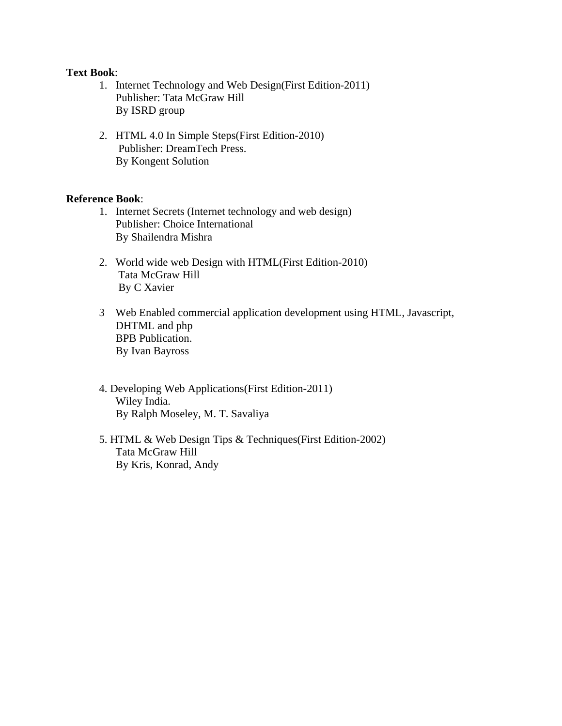#### **Text Book**:

- 1. Internet Technology and Web Design(First Edition-2011) Publisher: Tata McGraw Hill By ISRD group
- 2. HTML 4.0 In Simple Steps(First Edition-2010) Publisher: DreamTech Press. By Kongent Solution

### **Reference Book**:

- 1. Internet Secrets (Internet technology and web design) Publisher: Choice International By Shailendra Mishra
- 2. World wide web Design with HTML(First Edition-2010) Tata McGraw Hill By C Xavier
- 3 Web Enabled commercial application development using HTML, Javascript, DHTML and php BPB Publication. By Ivan Bayross
- 4. Developing Web Applications(First Edition-2011) Wiley India. By Ralph Moseley, M. T. Savaliya
- 5. HTML & Web Design Tips & Techniques(First Edition-2002) Tata McGraw Hill By Kris, Konrad, Andy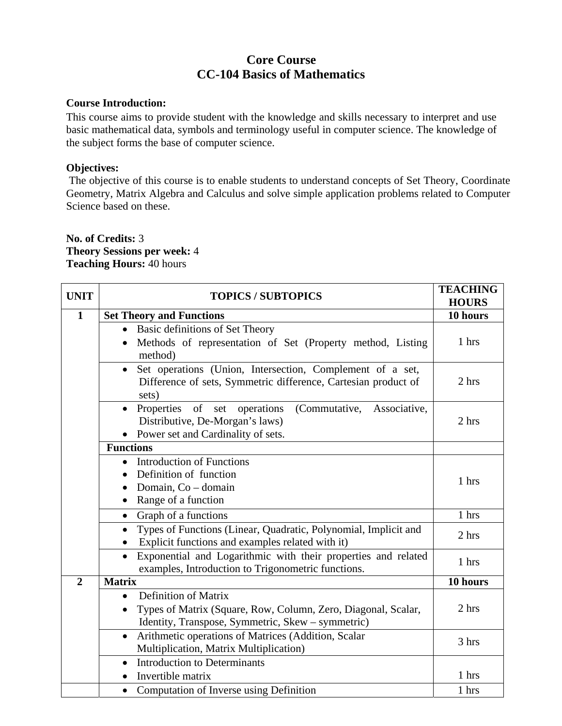# **Core Course CC-104 Basics of Mathematics**

### **Course Introduction:**

This course aims to provide student with the knowledge and skills necessary to interpret and use basic mathematical data, symbols and terminology useful in computer science. The knowledge of the subject forms the base of computer science.

## **Objectives:**

 The objective of this course is to enable students to understand concepts of Set Theory, Coordinate Geometry, Matrix Algebra and Calculus and solve simple application problems related to Computer Science based on these.

## **No. of Credits:** 3 **Theory Sessions per week:** 4 **Teaching Hours:** 40 hours

| <b>UNIT</b>    | <b>TOPICS / SUBTOPICS</b>                                                                                                                               | <b>TEACHING</b><br><b>HOURS</b> |
|----------------|---------------------------------------------------------------------------------------------------------------------------------------------------------|---------------------------------|
| $\mathbf{1}$   | <b>Set Theory and Functions</b>                                                                                                                         | 10 hours                        |
|                | Basic definitions of Set Theory<br>Methods of representation of Set (Property method, Listing<br>method)                                                | 1 hrs                           |
|                | Set operations (Union, Intersection, Complement of a set,<br>$\bullet$<br>Difference of sets, Symmetric difference, Cartesian product of<br>sets)       | 2 hrs                           |
|                | Properties of set operations<br>(Commutative,<br>Associative,<br>Distributive, De-Morgan's laws)<br>Power set and Cardinality of sets.<br>$\bullet$     | 2 hrs                           |
|                | <b>Functions</b>                                                                                                                                        |                                 |
|                | <b>Introduction of Functions</b><br>$\bullet$<br>Definition of function<br>Domain, Co - domain<br>Range of a function                                   | 1 hrs                           |
|                | Graph of a functions<br>$\bullet$                                                                                                                       | 1 hrs                           |
|                | Types of Functions (Linear, Quadratic, Polynomial, Implicit and<br>$\bullet$<br>Explicit functions and examples related with it)                        | 2 hrs                           |
|                | Exponential and Logarithmic with their properties and related<br>$\bullet$<br>examples, Introduction to Trigonometric functions.                        | 1 hrs                           |
| $\overline{2}$ | <b>Matrix</b>                                                                                                                                           | 10 hours                        |
|                | Definition of Matrix<br>$\bullet$<br>Types of Matrix (Square, Row, Column, Zero, Diagonal, Scalar,<br>Identity, Transpose, Symmetric, Skew - symmetric) | 2 hrs                           |
|                | Arithmetic operations of Matrices (Addition, Scalar<br>$\bullet$<br>Multiplication, Matrix Multiplication)                                              | 3 hrs                           |
|                | <b>Introduction to Determinants</b><br>$\bullet$<br>Invertible matrix                                                                                   | 1 hrs                           |
|                | Computation of Inverse using Definition<br>$\bullet$                                                                                                    | 1 hrs                           |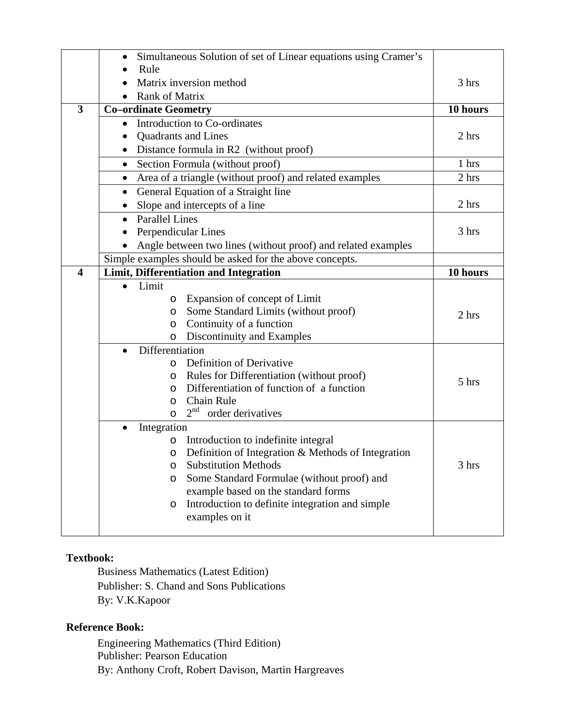|                         | Simultaneous Solution of set of Linear equations using Cramer's                        |          |
|-------------------------|----------------------------------------------------------------------------------------|----------|
|                         | Rule                                                                                   |          |
|                         | Matrix inversion method                                                                | 3 hrs    |
|                         | <b>Rank of Matrix</b>                                                                  |          |
| $\overline{\mathbf{3}}$ | <b>Co-ordinate Geometry</b>                                                            | 10 hours |
|                         | Introduction to Co-ordinates<br>$\bullet$                                              |          |
|                         | <b>Quadrants and Lines</b>                                                             | 2 hrs    |
|                         | Distance formula in R2 (without proof)                                                 |          |
|                         | Section Formula (without proof)<br>$\bullet$                                           | 1 hrs    |
|                         | Area of a triangle (without proof) and related examples<br>$\bullet$                   | 2 hrs    |
|                         | General Equation of a Straight line<br>$\bullet$                                       |          |
|                         | Slope and intercepts of a line                                                         | 2 hrs    |
|                         | <b>Parallel Lines</b>                                                                  |          |
|                         | Perpendicular Lines                                                                    | 3 hrs    |
|                         | Angle between two lines (without proof) and related examples                           |          |
|                         | Simple examples should be asked for the above concepts.                                |          |
| $\overline{\mathbf{4}}$ | Limit, Differentiation and Integration                                                 | 10 hours |
|                         | Limit                                                                                  |          |
|                         | Expansion of concept of Limit<br>$\circ$                                               |          |
|                         | Some Standard Limits (without proof)<br>O                                              | 2 hrs    |
|                         | Continuity of a function<br>O                                                          |          |
|                         | Discontinuity and Examples<br>$\circ$                                                  |          |
|                         | Differentiation                                                                        |          |
|                         | Definition of Derivative<br>$\circ$                                                    |          |
|                         | Rules for Differentiation (without proof)<br>O                                         | 5 hrs    |
|                         | Differentiation of function of a function<br>O                                         |          |
|                         | <b>Chain Rule</b><br>O<br>2 <sup>nd</sup>                                              |          |
|                         | order derivatives<br>$\circ$                                                           |          |
|                         | Integration                                                                            |          |
|                         | Introduction to indefinite integral<br>O                                               |          |
|                         | Definition of Integration & Methods of Integration<br>O<br><b>Substitution Methods</b> | 3 hrs    |
|                         | O<br>Some Standard Formulae (without proof) and<br>O                                   |          |
|                         | example based on the standard forms                                                    |          |
|                         | Introduction to definite integration and simple<br>O                                   |          |
|                         | examples on it                                                                         |          |
|                         |                                                                                        |          |

Business Mathematics (Latest Edition) Publisher: S. Chand and Sons Publications By: V.K.Kapoor

## **Reference Book:**

Engineering Mathematics (Third Edition) Publisher: Pearson Education By: Anthony Croft, Robert Davison, Martin Hargreaves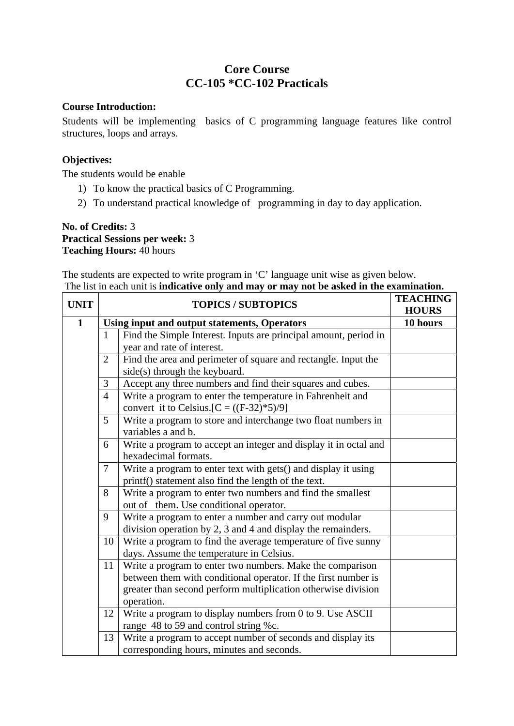# **Core Course CC-105 \*CC-102 Practicals**

## **Course Introduction:**

Students will be implementing basics of C programming language features like control structures, loops and arrays.

## **Objectives:**

The students would be enable

- 1) To know the practical basics of C Programming.
- 2) To understand practical knowledge of programming in day to day application.

## **No. of Credits:** 3 **Practical Sessions per week:** 3 **Teaching Hours:** 40 hours

The students are expected to write program in 'C' language unit wise as given below. The list in each unit is **indicative only and may or may not be asked in the examination.**

| <b>UNIT</b>  | <b>TOPICS / SUBTOPICS</b> |                                                                                                                                                                                                            | <b>TEACHING</b><br><b>HOURS</b> |
|--------------|---------------------------|------------------------------------------------------------------------------------------------------------------------------------------------------------------------------------------------------------|---------------------------------|
| $\mathbf{1}$ |                           | Using input and output statements, Operators                                                                                                                                                               | 10 hours                        |
|              | $\mathbf{1}$              | Find the Simple Interest. Inputs are principal amount, period in                                                                                                                                           |                                 |
|              |                           | year and rate of interest.                                                                                                                                                                                 |                                 |
|              | $\overline{2}$            | Find the area and perimeter of square and rectangle. Input the<br>side(s) through the keyboard.                                                                                                            |                                 |
|              | 3                         | Accept any three numbers and find their squares and cubes.                                                                                                                                                 |                                 |
|              | $\overline{4}$            | Write a program to enter the temperature in Fahrenheit and<br>convert it to Celsius. $[C = ((F-32)*5)/9]$                                                                                                  |                                 |
|              | 5                         | Write a program to store and interchange two float numbers in<br>variables a and b.                                                                                                                        |                                 |
|              | 6                         | Write a program to accept an integer and display it in octal and<br>hexadecimal formats.                                                                                                                   |                                 |
|              | $\tau$                    | Write a program to enter text with gets() and display it using<br>printf() statement also find the length of the text.                                                                                     |                                 |
|              | 8                         | Write a program to enter two numbers and find the smallest<br>out of them. Use conditional operator.                                                                                                       |                                 |
|              | 9                         | Write a program to enter a number and carry out modular<br>division operation by 2, 3 and 4 and display the remainders.                                                                                    |                                 |
|              | 10                        | Write a program to find the average temperature of five sunny<br>days. Assume the temperature in Celsius.                                                                                                  |                                 |
|              | 11                        | Write a program to enter two numbers. Make the comparison<br>between them with conditional operator. If the first number is<br>greater than second perform multiplication otherwise division<br>operation. |                                 |
|              | 12                        | Write a program to display numbers from 0 to 9. Use ASCII<br>range 48 to 59 and control string %c.                                                                                                         |                                 |
|              | 13                        | Write a program to accept number of seconds and display its<br>corresponding hours, minutes and seconds.                                                                                                   |                                 |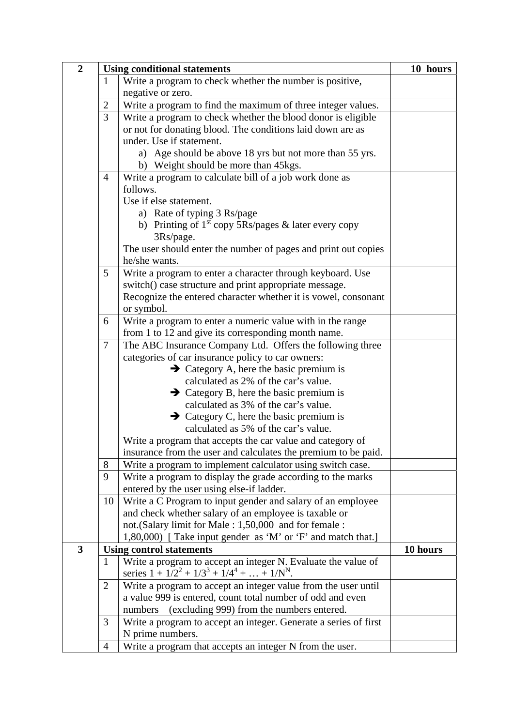| $\overline{2}$ |                | <b>Using conditional statements</b>                                                                                 | 10 hours |
|----------------|----------------|---------------------------------------------------------------------------------------------------------------------|----------|
|                | $\mathbf{1}$   | Write a program to check whether the number is positive,                                                            |          |
|                |                | negative or zero.                                                                                                   |          |
|                | $\overline{2}$ | Write a program to find the maximum of three integer values.                                                        |          |
|                | 3              | Write a program to check whether the blood donor is eligible                                                        |          |
|                |                | or not for donating blood. The conditions laid down are as                                                          |          |
|                |                | under. Use if statement.                                                                                            |          |
|                |                | a) Age should be above 18 yrs but not more than 55 yrs.                                                             |          |
|                |                | b) Weight should be more than 45 kgs.                                                                               |          |
|                | $\overline{4}$ | Write a program to calculate bill of a job work done as                                                             |          |
|                |                | follows.                                                                                                            |          |
|                |                | Use if else statement.                                                                                              |          |
|                |                | a) Rate of typing 3 Rs/page                                                                                         |          |
|                |                | b) Printing of $1st$ copy 5Rs/pages & later every copy                                                              |          |
|                |                | 3Rs/page.                                                                                                           |          |
|                |                | The user should enter the number of pages and print out copies                                                      |          |
|                |                | he/she wants.                                                                                                       |          |
|                | 5              | Write a program to enter a character through keyboard. Use                                                          |          |
|                |                | switch() case structure and print appropriate message.                                                              |          |
|                |                | Recognize the entered character whether it is vowel, consonant                                                      |          |
|                |                | or symbol.                                                                                                          |          |
|                | 6              | Write a program to enter a numeric value with in the range                                                          |          |
|                |                | from 1 to 12 and give its corresponding month name.                                                                 |          |
|                | $\overline{7}$ | The ABC Insurance Company Ltd. Offers the following three                                                           |          |
|                |                | categories of car insurance policy to car owners:                                                                   |          |
|                |                | $\rightarrow$ Category A, here the basic premium is                                                                 |          |
|                |                | calculated as 2% of the car's value.                                                                                |          |
|                |                | $\rightarrow$ Category B, here the basic premium is                                                                 |          |
|                |                | calculated as 3% of the car's value.                                                                                |          |
|                |                | $\rightarrow$ Category C, here the basic premium is                                                                 |          |
|                |                | calculated as 5% of the car's value.                                                                                |          |
|                |                | Write a program that accepts the car value and category of                                                          |          |
|                |                | insurance from the user and calculates the premium to be paid.                                                      |          |
|                | 8              | Write a program to implement calculator using switch case.                                                          |          |
|                | 9              | Write a program to display the grade according to the marks                                                         |          |
|                |                | entered by the user using else-if ladder.                                                                           |          |
|                | 10             | Write a C Program to input gender and salary of an employee                                                         |          |
|                |                | and check whether salary of an employee is taxable or                                                               |          |
|                |                | not.(Salary limit for Male: 1,50,000 and for female:<br>1,80,000) [Take input gender as 'M' or 'F' and match that.] |          |
| 3              |                | <b>Using control statements</b>                                                                                     | 10 hours |
|                | $\mathbf{1}$   | Write a program to accept an integer N. Evaluate the value of                                                       |          |
|                |                | series $1 + 1/2^2 + 1/3^3 + 1/4^4 + \ldots + 1/N^N$ .                                                               |          |
|                | $\overline{2}$ | Write a program to accept an integer value from the user until                                                      |          |
|                |                | a value 999 is entered, count total number of odd and even                                                          |          |
|                |                | (excluding 999) from the numbers entered.<br>numbers                                                                |          |
|                | 3              | Write a program to accept an integer. Generate a series of first                                                    |          |
|                |                | N prime numbers.                                                                                                    |          |
|                | $\overline{4}$ | Write a program that accepts an integer N from the user.                                                            |          |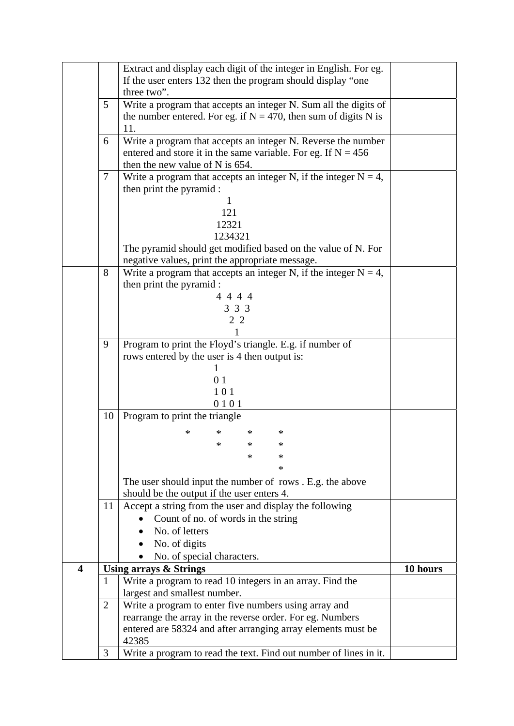|                         |                                                                                    | Extract and display each digit of the integer in English. For eg.<br>If the user enters 132 then the program should display "one |          |  |  |
|-------------------------|------------------------------------------------------------------------------------|----------------------------------------------------------------------------------------------------------------------------------|----------|--|--|
|                         | three two".                                                                        |                                                                                                                                  |          |  |  |
|                         | Write a program that accepts an integer N. Sum all the digits of<br>5 <sup>5</sup> |                                                                                                                                  |          |  |  |
|                         | the number entered. For eg. if $N = 470$ , then sum of digits N is                 |                                                                                                                                  |          |  |  |
|                         |                                                                                    | 11.                                                                                                                              |          |  |  |
|                         | 6                                                                                  | Write a program that accepts an integer N. Reverse the number                                                                    |          |  |  |
|                         |                                                                                    | entered and store it in the same variable. For eg. If $N = 456$                                                                  |          |  |  |
|                         |                                                                                    | then the new value of N is 654.                                                                                                  |          |  |  |
|                         | $\tau$                                                                             | Write a program that accepts an integer N, if the integer $N = 4$ ,                                                              |          |  |  |
|                         |                                                                                    | then print the pyramid :                                                                                                         |          |  |  |
|                         |                                                                                    |                                                                                                                                  |          |  |  |
|                         |                                                                                    | 121<br>12321                                                                                                                     |          |  |  |
|                         |                                                                                    | 1234321                                                                                                                          |          |  |  |
|                         |                                                                                    | The pyramid should get modified based on the value of N. For                                                                     |          |  |  |
|                         |                                                                                    | negative values, print the appropriate message.                                                                                  |          |  |  |
|                         | 8                                                                                  | Write a program that accepts an integer N, if the integer $N = 4$ ,                                                              |          |  |  |
|                         |                                                                                    | then print the pyramid :                                                                                                         |          |  |  |
|                         |                                                                                    | 4 4 4 4                                                                                                                          |          |  |  |
|                         |                                                                                    | 3 3 3                                                                                                                            |          |  |  |
|                         |                                                                                    | 2 2                                                                                                                              |          |  |  |
|                         |                                                                                    |                                                                                                                                  |          |  |  |
|                         | 9                                                                                  | Program to print the Floyd's triangle. E.g. if number of                                                                         |          |  |  |
|                         |                                                                                    | rows entered by the user is 4 then output is:                                                                                    |          |  |  |
|                         |                                                                                    |                                                                                                                                  |          |  |  |
|                         |                                                                                    | 01                                                                                                                               |          |  |  |
|                         |                                                                                    | 101<br>0101                                                                                                                      |          |  |  |
|                         | 10                                                                                 | Program to print the triangle                                                                                                    |          |  |  |
|                         |                                                                                    |                                                                                                                                  |          |  |  |
|                         |                                                                                    | $\ast$<br>$\ast$<br>$\ast$<br>∗                                                                                                  |          |  |  |
|                         |                                                                                    | *<br>$\ast$<br>*                                                                                                                 |          |  |  |
|                         |                                                                                    | $\ast$<br>∗                                                                                                                      |          |  |  |
|                         |                                                                                    | $\ast$                                                                                                                           |          |  |  |
|                         |                                                                                    | The user should input the number of rows . E.g. the above                                                                        |          |  |  |
|                         | 11                                                                                 | should be the output if the user enters 4.<br>Accept a string from the user and display the following                            |          |  |  |
|                         |                                                                                    | Count of no. of words in the string                                                                                              |          |  |  |
|                         |                                                                                    | No. of letters                                                                                                                   |          |  |  |
|                         |                                                                                    | No. of digits                                                                                                                    |          |  |  |
|                         |                                                                                    | No. of special characters.                                                                                                       |          |  |  |
| $\overline{\mathbf{4}}$ |                                                                                    | <b>Using arrays &amp; Strings</b>                                                                                                | 10 hours |  |  |
|                         | $\mathbf{1}$                                                                       | Write a program to read 10 integers in an array. Find the                                                                        |          |  |  |
|                         |                                                                                    | largest and smallest number.                                                                                                     |          |  |  |
|                         | $\overline{2}$                                                                     | Write a program to enter five numbers using array and                                                                            |          |  |  |
|                         |                                                                                    | rearrange the array in the reverse order. For eg. Numbers                                                                        |          |  |  |
|                         |                                                                                    | entered are 58324 and after arranging array elements must be                                                                     |          |  |  |
|                         |                                                                                    | 42385                                                                                                                            |          |  |  |
|                         | 3                                                                                  | Write a program to read the text. Find out number of lines in it.                                                                |          |  |  |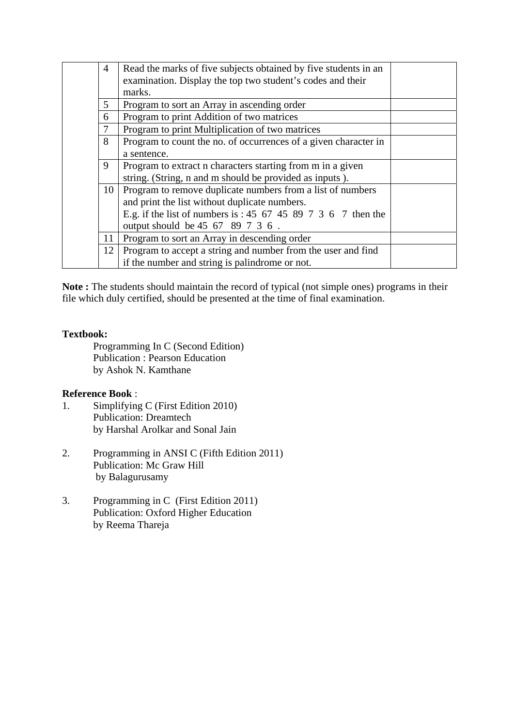| 4  | Read the marks of five subjects obtained by five students in an |  |
|----|-----------------------------------------------------------------|--|
|    | examination. Display the top two student's codes and their      |  |
|    | marks.                                                          |  |
| 5  | Program to sort an Array in ascending order                     |  |
| 6  | Program to print Addition of two matrices                       |  |
| 7  | Program to print Multiplication of two matrices                 |  |
| 8  | Program to count the no. of occurrences of a given character in |  |
|    | a sentence.                                                     |  |
| 9  | Program to extract n characters starting from m in a given      |  |
|    | string. (String, n and m should be provided as inputs).         |  |
|    | 10   Program to remove duplicate numbers from a list of numbers |  |
|    | and print the list without duplicate numbers.                   |  |
|    | E.g. if the list of numbers is : 45 67 45 89 7 3 6 7 then the   |  |
|    | output should be 45 67 89 7 3 6.                                |  |
| 11 | Program to sort an Array in descending order                    |  |
| 12 | Program to accept a string and number from the user and find    |  |
|    | if the number and string is palindrome or not.                  |  |

**Note :** The students should maintain the record of typical (not simple ones) programs in their file which duly certified, should be presented at the time of final examination.

### **Textbook:**

Programming In C (Second Edition) Publication : Pearson Education by Ashok N. Kamthane

### **Reference Book** :

- 1. Simplifying C (First Edition 2010) Publication: Dreamtech by Harshal Arolkar and Sonal Jain
- 2. Programming in ANSI C (Fifth Edition 2011) Publication: Mc Graw Hill by Balagurusamy
- 3. Programming in C (First Edition 2011) Publication: Oxford Higher Education by Reema Thareja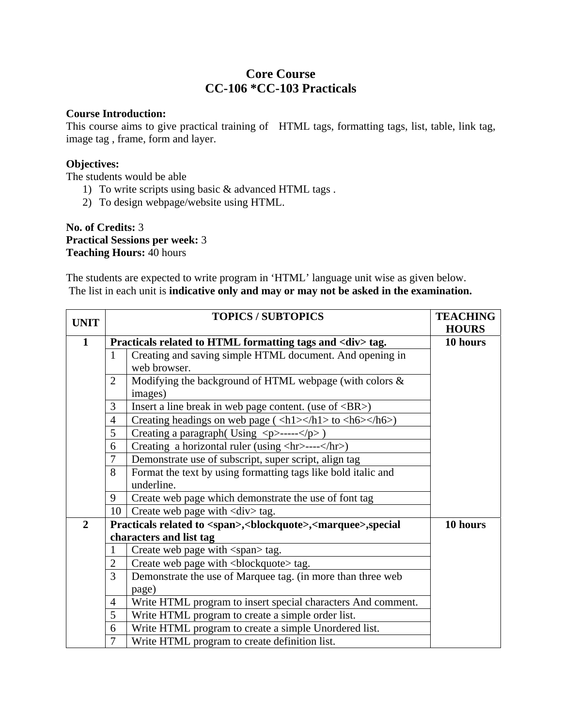# **Core Course CC-106 \*CC-103 Practicals**

### **Course Introduction:**

This course aims to give practical training of HTML tags, formatting tags, list, table, link tag, image tag , frame, form and layer.

### **Objectives:**

The students would be able

- 1) To write scripts using basic & advanced HTML tags .
- 2) To design webpage/website using HTML.

**No. of Credits:** 3 **Practical Sessions per week:** 3 **Teaching Hours:** 40 hours

The students are expected to write program in 'HTML' language unit wise as given below. The list in each unit is **indicative only and may or may not be asked in the examination.**

| <b>UNIT</b>    |                | <b>TOPICS / SUBTOPICS</b>                                                                                            | <b>TEACHING</b> |  |
|----------------|----------------|----------------------------------------------------------------------------------------------------------------------|-----------------|--|
|                |                |                                                                                                                      | <b>HOURS</b>    |  |
| 1              |                | Practicals related to HTML formatting tags and <div> tag.</div>                                                      |                 |  |
|                | $\mathbf{1}$   | Creating and saving simple HTML document. And opening in                                                             |                 |  |
|                |                | web browser.                                                                                                         |                 |  |
|                | $\overline{2}$ | Modifying the background of HTML webpage (with colors $\&$                                                           |                 |  |
|                |                | images)                                                                                                              |                 |  |
|                | 3              | Insert a line break in web page content. (use of $\langle BR \rangle$ )                                              |                 |  |
|                | $\overline{4}$ | Creating headings on web page ( $\langle h1 \rangle \langle h1 \rangle$ to $\langle h6 \rangle \langle h6 \rangle$ ) |                 |  |
|                | 5              | Creating a paragraph (Using $\langle p \rangle$ ----- $\langle p \rangle$ )                                          |                 |  |
|                | 6              | Creating a horizontal ruler (using <hr/> ----)                                                                       |                 |  |
|                | $\tau$         | Demonstrate use of subscript, super script, align tag                                                                |                 |  |
|                | 8              | Format the text by using formatting tags like bold italic and                                                        |                 |  |
|                |                | underline.                                                                                                           |                 |  |
|                | 9              | Create web page which demonstrate the use of font tag                                                                |                 |  |
|                | 10             | Create web page with <div> tag.</div>                                                                                |                 |  |
| $\overline{2}$ |                | Practicals related to <span>,<br/>blockquote&gt;,<marquee>,special</marquee></span>                                  | 10 hours        |  |
|                |                | characters and list tag                                                                                              |                 |  |
|                | 1              | Create web page with <span> tag.</span>                                                                              |                 |  |
|                | $\mathbf{2}$   | Create web page with<br>blockquote> tag.                                                                             |                 |  |
|                | 3              | Demonstrate the use of Marquee tag. (in more than three web                                                          |                 |  |
|                |                | page)                                                                                                                |                 |  |
|                | $\overline{4}$ | Write HTML program to insert special characters And comment.                                                         |                 |  |
|                | 5              | Write HTML program to create a simple order list.                                                                    |                 |  |
|                | 6              | Write HTML program to create a simple Unordered list.                                                                |                 |  |
|                | 7              | Write HTML program to create definition list.                                                                        |                 |  |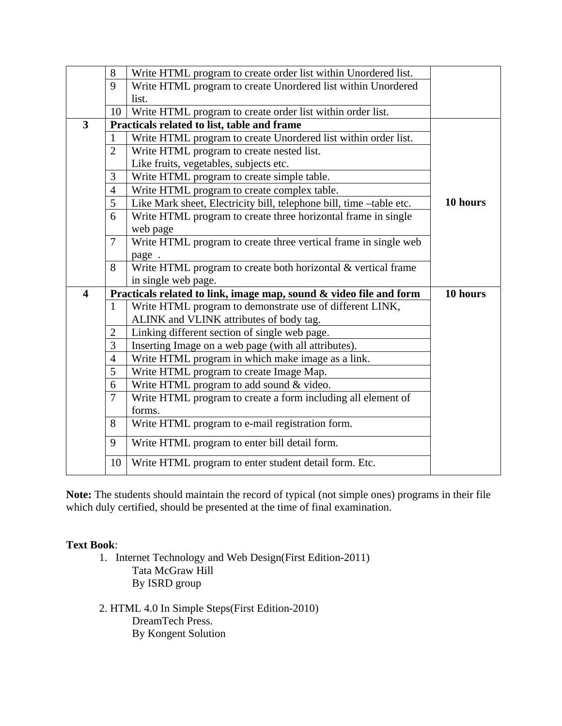|                         | 8              | Write HTML program to create order list within Unordered list.      |          |
|-------------------------|----------------|---------------------------------------------------------------------|----------|
|                         | 9              | Write HTML program to create Unordered list within Unordered        |          |
|                         |                | list.                                                               |          |
|                         | 10             | Write HTML program to create order list within order list.          |          |
| $\overline{3}$          |                | Practicals related to list, table and frame                         |          |
|                         | 1              | Write HTML program to create Unordered list within order list.      |          |
|                         | $\overline{2}$ | Write HTML program to create nested list.                           |          |
|                         |                | Like fruits, vegetables, subjects etc.                              |          |
|                         | 3              | Write HTML program to create simple table.                          |          |
|                         | $\overline{4}$ | Write HTML program to create complex table.                         |          |
|                         | 5              | Like Mark sheet, Electricity bill, telephone bill, time -table etc. | 10 hours |
|                         | 6              | Write HTML program to create three horizontal frame in single       |          |
|                         |                | web page                                                            |          |
|                         | $\overline{7}$ | Write HTML program to create three vertical frame in single web     |          |
|                         |                | page.                                                               |          |
|                         | 8              | Write HTML program to create both horizontal & vertical frame       |          |
|                         |                | in single web page.                                                 |          |
| $\overline{\mathbf{4}}$ |                | Practicals related to link, image map, sound & video file and form  | 10 hours |
|                         | $\mathbf{1}$   | Write HTML program to demonstrate use of different LINK,            |          |
|                         |                | ALINK and VLINK attributes of body tag.                             |          |
|                         | $\mathbf{2}$   | Linking different section of single web page.                       |          |
|                         | 3              | Inserting Image on a web page (with all attributes).                |          |
|                         | $\overline{4}$ | Write HTML program in which make image as a link.                   |          |
|                         | 5              | Write HTML program to create Image Map.                             |          |
|                         | 6              | Write HTML program to add sound & video.                            |          |
|                         | $\overline{7}$ | Write HTML program to create a form including all element of        |          |
|                         |                |                                                                     |          |
|                         |                | forms.                                                              |          |
|                         | 8              | Write HTML program to e-mail registration form.                     |          |
|                         | 9              | Write HTML program to enter bill detail form.                       |          |

**Note:** The students should maintain the record of typical (not simple ones) programs in their file which duly certified, should be presented at the time of final examination.

## **Text Book**:

- 1. Internet Technology and Web Design(First Edition-2011) Tata McGraw Hill By ISRD group
- 2. HTML 4.0 In Simple Steps(First Edition-2010) DreamTech Press. By Kongent Solution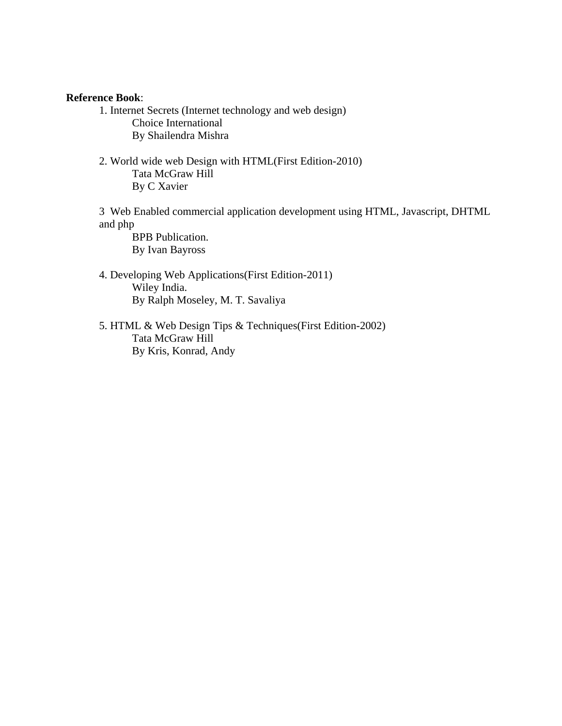#### **Reference Book**:

- 1. Internet Secrets (Internet technology and web design) Choice International By Shailendra Mishra
- 2. World wide web Design with HTML(First Edition-2010) Tata McGraw Hill By C Xavier

3 Web Enabled commercial application development using HTML, Javascript, DHTML and php

 BPB Publication. By Ivan Bayross

- 4. Developing Web Applications(First Edition-2011) Wiley India. By Ralph Moseley, M. T. Savaliya
- 5. HTML & Web Design Tips & Techniques(First Edition-2002) Tata McGraw Hill By Kris, Konrad, Andy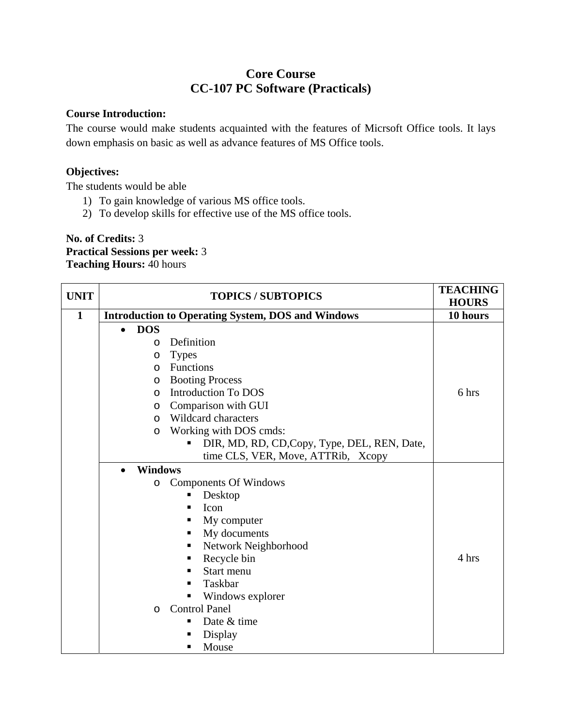# **Core Course CC-107 PC Software (Practicals)**

### **Course Introduction:**

The course would make students acquainted with the features of Micrsoft Office tools. It lays down emphasis on basic as well as advance features of MS Office tools.

## **Objectives:**

The students would be able

- 1) To gain knowledge of various MS office tools.
- 2) To develop skills for effective use of the MS office tools.

**No. of Credits:** 3 **Practical Sessions per week:** 3 **Teaching Hours:** 40 hours

| <b>UNIT</b>  | <b>TOPICS / SUBTOPICS</b>                                |                                              | <b>TEACHING</b><br><b>HOURS</b> |
|--------------|----------------------------------------------------------|----------------------------------------------|---------------------------------|
| $\mathbf{1}$ | <b>Introduction to Operating System, DOS and Windows</b> |                                              | 10 hours                        |
|              | <b>DOS</b><br>$\bullet$                                  |                                              |                                 |
|              | Definition<br>O                                          |                                              |                                 |
|              | <b>Types</b><br>$\circ$                                  |                                              |                                 |
|              | Functions<br>O                                           |                                              |                                 |
|              | <b>Booting Process</b><br>$\circ$                        |                                              |                                 |
|              | <b>Introduction To DOS</b><br>$\circ$                    |                                              | 6 hrs                           |
|              | Comparison with GUI<br>O                                 |                                              |                                 |
|              | Wildcard characters<br>$\circ$                           |                                              |                                 |
|              | Working with DOS cmds:<br>$\circ$                        |                                              |                                 |
|              |                                                          | DIR, MD, RD, CD, Copy, Type, DEL, REN, Date, |                                 |
|              |                                                          | time CLS, VER, Move, ATTRib, Xcopy           |                                 |
|              | <b>Windows</b><br>$\bullet$                              |                                              |                                 |
|              | <b>Components Of Windows</b><br>$\circ$                  |                                              |                                 |
|              | Desktop<br>٠                                             |                                              |                                 |
|              | Icon<br>п                                                |                                              |                                 |
|              | My computer<br>п                                         |                                              |                                 |
|              | My documents<br>٠                                        |                                              |                                 |
|              | Network Neighborhood<br>п                                |                                              |                                 |
|              | Recycle bin<br>п                                         |                                              | 4 hrs                           |
|              | Start menu<br>п                                          |                                              |                                 |
|              | Taskbar<br>п                                             |                                              |                                 |
|              | Windows explorer<br>П                                    |                                              |                                 |
|              | <b>Control Panel</b><br>$\circ$                          |                                              |                                 |
|              | Date & time<br>п                                         |                                              |                                 |
|              | Display                                                  |                                              |                                 |
|              | Mouse<br>▪                                               |                                              |                                 |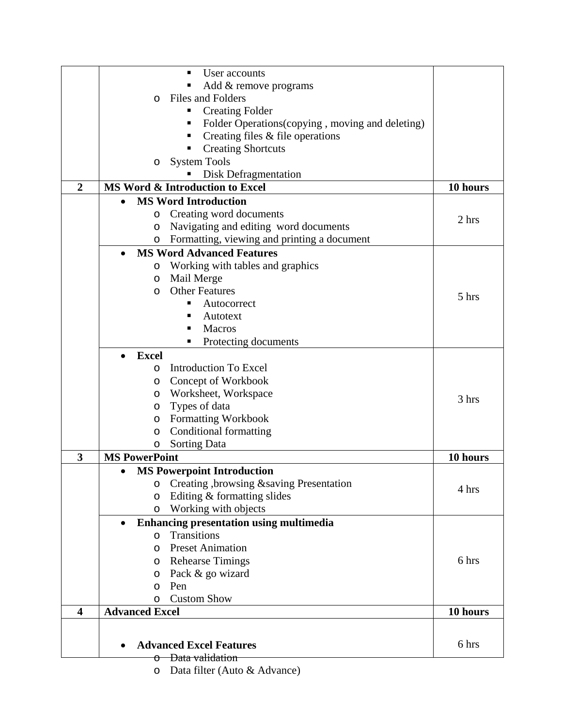|                         | User accounts                                               |          |
|-------------------------|-------------------------------------------------------------|----------|
|                         | Add & remove programs                                       |          |
|                         | Files and Folders<br>$\Omega$                               |          |
|                         | <b>Creating Folder</b><br>п                                 |          |
|                         | Folder Operations (copying, moving and deleting)<br>٠       |          |
|                         | Creating files $&$ file operations<br>٠                     |          |
|                         | <b>Creating Shortcuts</b>                                   |          |
|                         | <b>System Tools</b><br>O                                    |          |
|                         | Disk Defragmentation                                        |          |
| $\boldsymbol{2}$        | MS Word & Introduction to Excel                             | 10 hours |
|                         | <b>MS Word Introduction</b><br>$\bullet$                    |          |
|                         | Creating word documents<br>O                                |          |
|                         | Navigating and editing word documents<br>O                  | 2 hrs    |
|                         | Formatting, viewing and printing a document                 |          |
|                         | O                                                           |          |
|                         | <b>MS Word Advanced Features</b><br>$\bullet$               |          |
|                         | Working with tables and graphics<br>O                       |          |
|                         | Mail Merge<br>$\circ$                                       |          |
|                         | <b>Other Features</b><br>$\circ$                            | 5 hrs    |
|                         | Autocorrect                                                 |          |
|                         | Autotext                                                    |          |
|                         | Macros<br>п                                                 |          |
|                         | Protecting documents                                        |          |
|                         | <b>Excel</b><br>$\bullet$                                   |          |
|                         | <b>Introduction To Excel</b><br>$\circ$                     |          |
|                         | Concept of Workbook<br>O                                    |          |
|                         | Worksheet, Workspace<br>$\circ$                             | 3 hrs    |
|                         | Types of data<br>O                                          |          |
|                         | <b>Formatting Workbook</b><br>O                             |          |
|                         | <b>Conditional formatting</b><br>O                          |          |
|                         | Sorting Data<br>O                                           |          |
| 3                       | <b>MS PowerPoint</b>                                        | 10 hours |
|                         | <b>MS Powerpoint Introduction</b><br>٠                      |          |
|                         | Creating, browsing & saving Presentation<br>O               |          |
|                         | Editing & formatting slides<br>O                            | 4 hrs    |
|                         | Working with objects<br>O                                   |          |
|                         | <b>Enhancing presentation using multimedia</b><br>$\bullet$ |          |
|                         | Transitions<br>$\circ$                                      |          |
|                         | <b>Preset Animation</b><br>$\circ$                          |          |
|                         | <b>Rehearse Timings</b><br>$\circ$                          | 6 hrs    |
|                         | Pack & go wizard<br>O                                       |          |
|                         | Pen<br>O                                                    |          |
|                         | <b>Custom Show</b><br>O                                     |          |
| $\overline{\mathbf{4}}$ | <b>Advanced Excel</b>                                       | 10 hours |
|                         |                                                             |          |
|                         |                                                             |          |
|                         | <b>Advanced Excel Features</b>                              | 6 hrs    |
|                         | Data validation<br>ᠬ                                        |          |
|                         | Data filter (Auto & Advance)<br>$\circ$                     |          |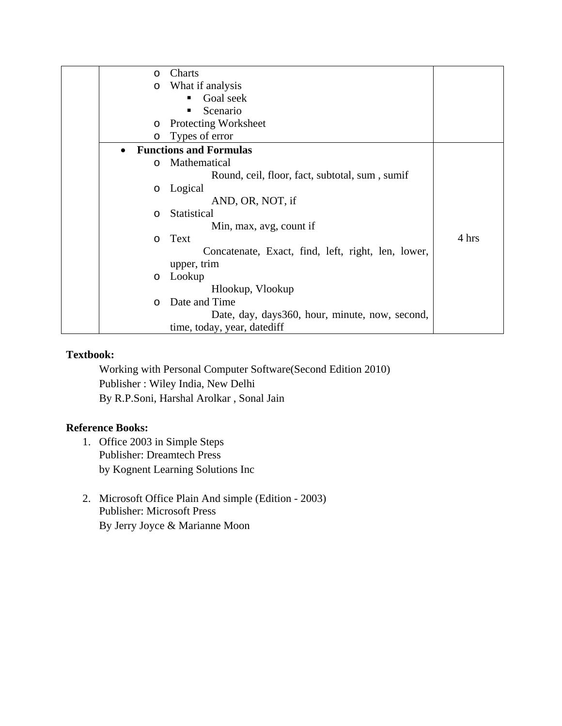| $\circ$   | Charts                                             |       |
|-----------|----------------------------------------------------|-------|
| $\circ$   | What if analysis                                   |       |
|           | Goal seek                                          |       |
|           | Scenario<br>п                                      |       |
| $\circ$   | Protecting Worksheet                               |       |
| $\circ$   | Types of error                                     |       |
| $\bullet$ | <b>Functions and Formulas</b>                      |       |
| $\circ$   | Mathematical                                       |       |
|           | Round, ceil, floor, fact, subtotal, sum, sumif     |       |
| $\circ$   | Logical                                            |       |
|           | AND, OR, NOT, if                                   |       |
| O         | Statistical                                        |       |
|           | Min, max, avg, count if                            |       |
| $\circ$   | Text                                               | 4 hrs |
|           | Concatenate, Exact, find, left, right, len, lower, |       |
|           | upper, trim                                        |       |
| $\circ$   | Lookup                                             |       |
|           | Hlookup, Vlookup                                   |       |
| $\circ$   | Date and Time                                      |       |
|           | Date, day, days 360, hour, minute, now, second,    |       |
|           | time, today, year, datediff                        |       |

Working with Personal Computer Software(Second Edition 2010) Publisher : Wiley India, New Delhi By R.P.Soni, Harshal Arolkar , Sonal Jain

## **Reference Books:**

- 1. Office 2003 in Simple Steps Publisher: Dreamtech Press by Kognent Learning Solutions Inc
- 2. Microsoft Office Plain And simple (Edition 2003) Publisher: Microsoft Press By Jerry Joyce & Marianne Moon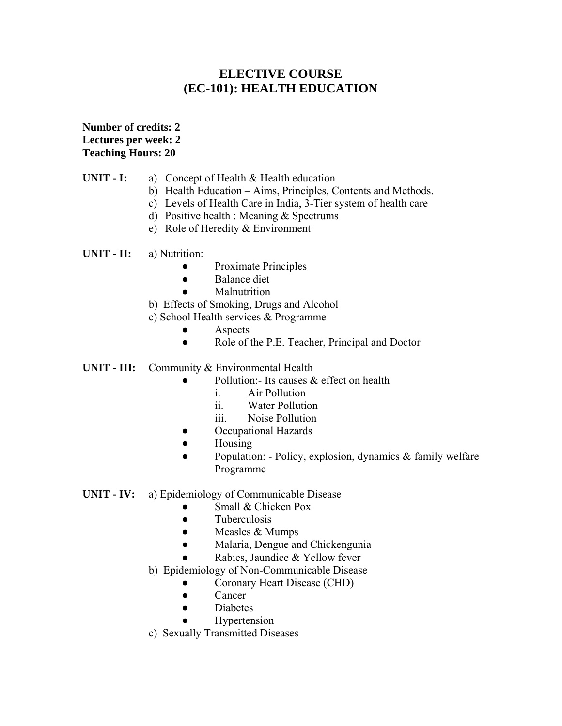# **ELECTIVE COURSE (EC-101): HEALTH EDUCATION**

**Number of credits: 2 Lectures per week: 2 Teaching Hours: 20** 

## **UNIT - I:** a) Concept of Health & Health education

- b) Health Education Aims, Principles, Contents and Methods.
- c) Levels of Health Care in India, 3-Tier system of health care
- d) Positive health : Meaning & Spectrums
- e) Role of Heredity & Environment

**UNIT - II:** a) Nutrition:

- Proximate Principles
- Balance diet
- **Malnutrition**
- b) Effects of Smoking, Drugs and Alcohol
- c) School Health services & Programme
	- **Aspects**
	- Role of the P.E. Teacher, Principal and Doctor
- **UNIT III:** Community & Environmental Health
	- Pollution:- Its causes  $\&$  effect on health
		- i. Air Pollution
		- ii. Water Pollution
		- iii. Noise Pollution
	- Occupational Hazards
	- Housing
	- Population: Policy, explosion, dynamics & family welfare Programme

### **UNIT - IV:** a) Epidemiology of Communicable Disease

- Small & Chicken Pox
- Tuberculosis
- $\bullet$  Measles & Mumps
- Malaria, Dengue and Chickengunia
- Rabies, Jaundice & Yellow fever
- b) Epidemiology of Non-Communicable Disease
	- Coronary Heart Disease (CHD)
	- Cancer
	- Diabetes
	- **Hypertension**
- c) Sexually Transmitted Diseases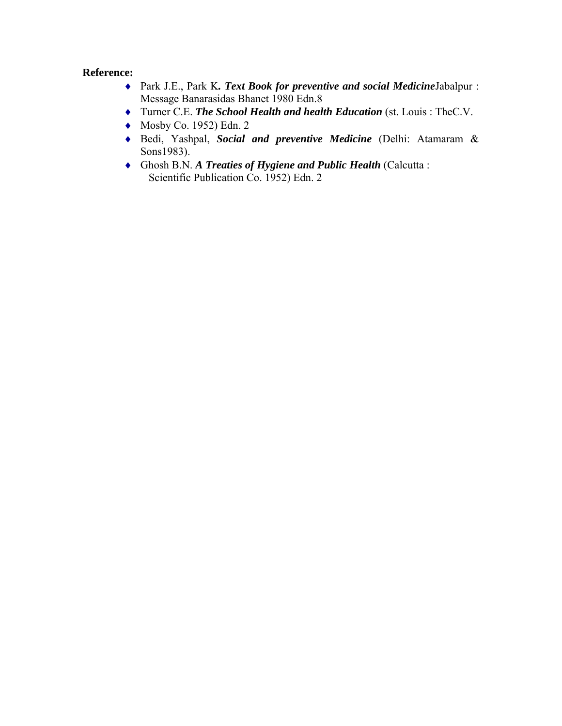### **Reference:**

- ♦ Park J.E., Park K*. Text Book for preventive and social Medicine*Jabalpur : Message Banarasidas Bhanet 1980 Edn.8
- ♦ Turner C.E. *The School Health and health Education* (st. Louis : TheC.V.
- $\blacklozenge$  Mosby Co. 1952) Edn. 2
- ♦ Bedi, Yashpal, *Social and preventive Medicine* (Delhi: Atamaram & Sons1983).
- ♦ Ghosh B.N. *A Treaties of Hygiene and Public Health* (Calcutta : Scientific Publication Co. 1952) Edn. 2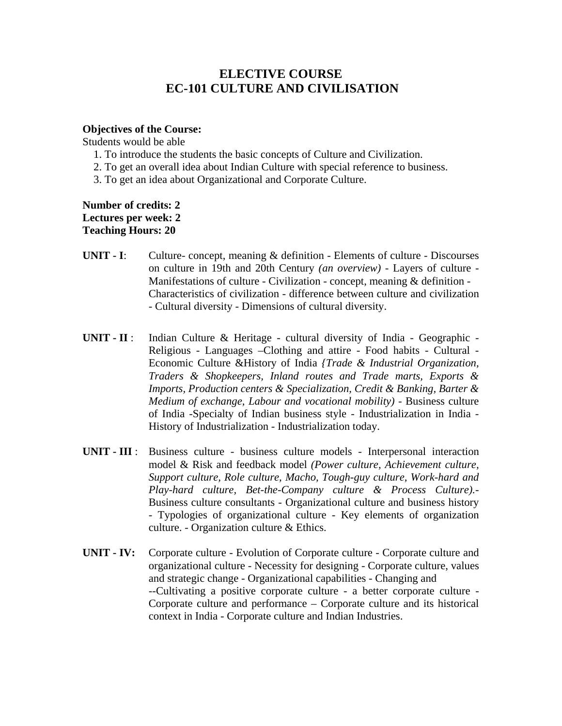## **ELECTIVE COURSE EC-101 CULTURE AND CIVILISATION**

#### **Objectives of the Course:**

Students would be able

- 1. To introduce the students the basic concepts of Culture and Civilization.
- 2. To get an overall idea about Indian Culture with special reference to business.
- 3. To get an idea about Organizational and Corporate Culture.

**Number of credits: 2 Lectures per week: 2 Teaching Hours: 20** 

- **UNIT I**: Culture- concept, meaning & definition Elements of culture Discourses on culture in 19th and 20th Century *(an overview)* - Layers of culture - Manifestations of culture - Civilization - concept, meaning & definition - Characteristics of civilization - difference between culture and civilization - Cultural diversity *-* Dimensions of cultural diversity.
- **UNIT II** : Indian Culture & Heritage cultural diversity of India Geographic  Religious - Languages –Clothing and attire - Food habits - Cultural *-*  Economic Culture &History of India *{Trade & Industrial Organization, Traders & Shopkeepers, Inland routes and Trade marts, Exports & Imports, Production centers & Specialization, Credit & Banking, Barter & Medium of exchange, Labour and vocational mobility*) - Business culture of India -Specialty of Indian business style - Industrialization in India - History of Industrialization - Industrialization today.
- **UNIT III** : Business culture business culture models Interpersonal interaction model & Risk and feedback model *(Power culture, Achievement culture, Support culture, Role culture, Macho, Tough-guy culture, Work-hard and Play-hard culture, Bet-the-Company culture & Process Culture).-*  Business culture consultants - Organizational culture and business history - Typologies of organizational culture - Key elements of organization culture. - Organization culture & Ethics.
- **UNIT IV:** Corporate culture Evolution of Corporate culture Corporate culture and organizational culture - Necessity for designing - Corporate culture, values and strategic change - Organizational capabilities - Changing and --Cultivating a positive corporate culture - a better corporate culture - Corporate culture and performance – Corporate culture and its historical context in India - Corporate culture and Indian Industries.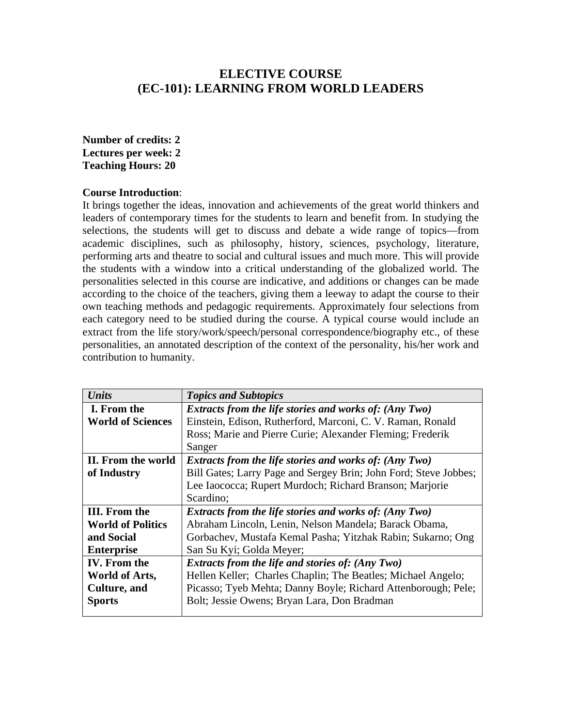## **ELECTIVE COURSE (EC-101): LEARNING FROM WORLD LEADERS**

## **Number of credits: 2 Lectures per week: 2 Teaching Hours: 20**

#### **Course Introduction**:

It brings together the ideas, innovation and achievements of the great world thinkers and leaders of contemporary times for the students to learn and benefit from. In studying the selections, the students will get to discuss and debate a wide range of topics—from academic disciplines, such as philosophy, history, sciences, psychology, literature, performing arts and theatre to social and cultural issues and much more. This will provide the students with a window into a critical understanding of the globalized world. The personalities selected in this course are indicative, and additions or changes can be made according to the choice of the teachers, giving them a leeway to adapt the course to their own teaching methods and pedagogic requirements. Approximately four selections from each category need to be studied during the course. A typical course would include an extract from the life story/work/speech/personal correspondence/biography etc., of these personalities, an annotated description of the context of the personality, his/her work and contribution to humanity.

| <b>Units</b>             | <b>Topics and Subtopics</b>                                      |
|--------------------------|------------------------------------------------------------------|
| I. From the              | <b>Extracts from the life stories and works of: (Any Two)</b>    |
| <b>World of Sciences</b> | Einstein, Edison, Rutherford, Marconi, C. V. Raman, Ronald       |
|                          | Ross; Marie and Pierre Curie; Alexander Fleming; Frederik        |
|                          | Sanger                                                           |
| II. From the world       | <b>Extracts from the life stories and works of: (Any Two)</b>    |
| of Industry              | Bill Gates; Larry Page and Sergey Brin; John Ford; Steve Jobbes; |
|                          | Lee Iaococca; Rupert Murdoch; Richard Branson; Marjorie          |
|                          | Scardino;                                                        |
| <b>III.</b> From the     | <b>Extracts from the life stories and works of: (Any Two)</b>    |
| <b>World of Politics</b> | Abraham Lincoln, Lenin, Nelson Mandela; Barack Obama,            |
| and Social               | Gorbachev, Mustafa Kemal Pasha; Yitzhak Rabin; Sukarno; Ong      |
| <b>Enterprise</b>        | San Su Kyi; Golda Meyer;                                         |
| <b>IV.</b> From the      | <b>Extracts from the life and stories of: (Any Two)</b>          |
| World of Arts,           | Hellen Keller; Charles Chaplin; The Beatles; Michael Angelo;     |
| <b>Culture</b> , and     | Picasso; Tyeb Mehta; Danny Boyle; Richard Attenborough; Pele;    |
| <b>Sports</b>            | Bolt; Jessie Owens; Bryan Lara, Don Bradman                      |
|                          |                                                                  |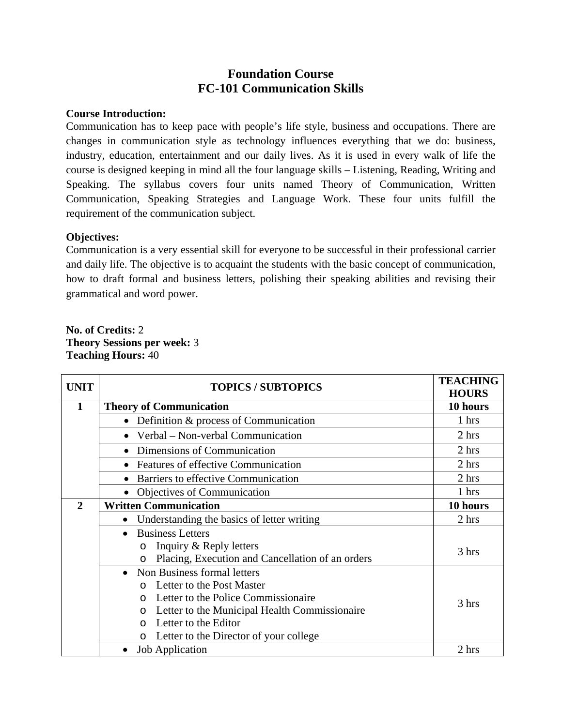# **Foundation Course FC-101 Communication Skills**

### **Course Introduction:**

Communication has to keep pace with people's life style, business and occupations. There are changes in communication style as technology influences everything that we do: business, industry, education, entertainment and our daily lives. As it is used in every walk of life the course is designed keeping in mind all the four language skills – Listening, Reading, Writing and Speaking. The syllabus covers four units named Theory of Communication, Written Communication, Speaking Strategies and Language Work. These four units fulfill the requirement of the communication subject.

## **Objectives:**

Communication is a very essential skill for everyone to be successful in their professional carrier and daily life. The objective is to acquaint the students with the basic concept of communication, how to draft formal and business letters, polishing their speaking abilities and revising their grammatical and word power.

**No. of Credits:** 2 **Theory Sessions per week:** 3 **Teaching Hours:** 40

| <b>UNIT</b>  | <b>TOPICS / SUBTOPICS</b>                                   | <b>TEACHING</b><br><b>HOURS</b> |
|--------------|-------------------------------------------------------------|---------------------------------|
| 1            | <b>Theory of Communication</b>                              |                                 |
|              | • Definition & process of Communication                     | 1 hrs                           |
|              | • Verbal – Non-verbal Communication                         | 2 hrs                           |
|              | • Dimensions of Communication                               | 2 hrs                           |
|              | <b>Features of effective Communication</b>                  | 2 hrs                           |
|              | Barriers to effective Communication                         | 2 hrs                           |
|              | Objectives of Communication                                 | 1 hrs                           |
| $\mathbf{2}$ | <b>Written Communication</b>                                | 10 hours                        |
|              | Understanding the basics of letter writing                  | 2 hrs                           |
|              | <b>Business Letters</b>                                     |                                 |
|              | Inquiry & Reply letters<br>$\circ$                          | 3 hrs                           |
|              | Placing, Execution and Cancellation of an orders<br>$\circ$ |                                 |
|              | Non Business formal letters<br>$\bullet$                    |                                 |
|              | Letter to the Post Master                                   |                                 |
|              | Letter to the Police Commissionaire<br>$\Omega$             | 3 hrs                           |
|              | Letter to the Municipal Health Commissionaire               |                                 |
|              | Letter to the Editor<br>$\Omega$                            |                                 |
|              | Letter to the Director of your college<br>$\circ$           |                                 |
|              | <b>Job Application</b>                                      | 2 hrs                           |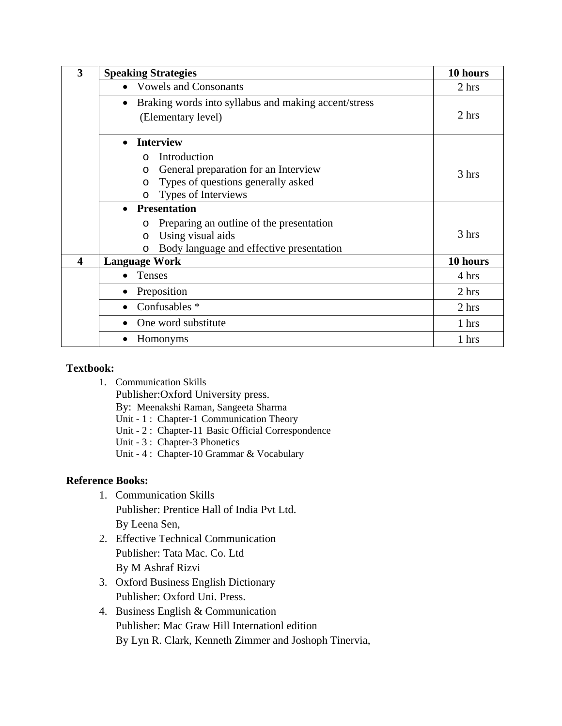| 3                | <b>Speaking Strategies</b>                                        | 10 hours |
|------------------|-------------------------------------------------------------------|----------|
|                  | <b>Vowels and Consonants</b><br>$\bullet$                         | 2 hrs    |
|                  | Braking words into syllabus and making accent/stress<br>$\bullet$ |          |
|                  | (Elementary level)                                                | 2 hrs    |
|                  | <b>Interview</b><br>$\bullet$                                     |          |
|                  | Introduction<br>$\Omega$                                          |          |
|                  | General preparation for an Interview<br>$\circ$                   | 3 hrs    |
|                  | Types of questions generally asked<br>$\circ$                     |          |
|                  | Types of Interviews<br>O                                          |          |
|                  | <b>Presentation</b><br>$\bullet$                                  |          |
|                  | Preparing an outline of the presentation<br>O                     |          |
|                  | Using visual aids<br>$\circ$                                      | 3 hrs    |
|                  | Body language and effective presentation<br>$\circ$               |          |
| $\boldsymbol{4}$ | <b>Language Work</b>                                              | 10 hours |
|                  | Tenses<br>$\bullet$                                               | 4 hrs    |
|                  | Preposition<br>$\bullet$                                          | 2 hrs    |
|                  | Confusables *<br>$\bullet$                                        | 2 hrs    |
|                  | One word substitute                                               | 1 hrs    |
|                  | Homonyms                                                          | 1 hrs    |

1. Communication Skills

Publisher:Oxford University press.

- By: Meenakshi Raman, Sangeeta Sharma
- Unit 1 : Chapter-1 Communication Theory
- Unit 2 : Chapter-11 Basic Official Correspondence
- Unit 3 : Chapter-3 Phonetics
- Unit 4 : Chapter-10 Grammar & Vocabulary

## **Reference Books:**

- 1. Communication Skills Publisher: Prentice Hall of India Pvt Ltd. By Leena Sen,
- 2. Effective Technical Communication Publisher: Tata Mac. Co. Ltd By M Ashraf Rizvi
- 3. Oxford Business English Dictionary Publisher: Oxford Uni. Press.
- 4. Business English & Communication Publisher: Mac Graw Hill Internationl edition By Lyn R. Clark, Kenneth Zimmer and Joshoph Tinervia,